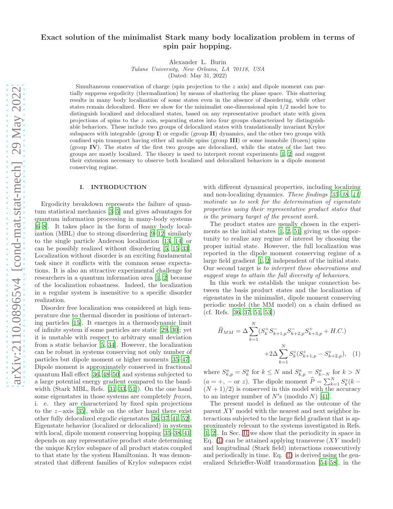# Exact solution of the minimalist Stark many body localization problem in terms of spin pair hopping.

Alexander L. Burin

Tulane University, New Orleans, LA 70118, USA

(Dated: May 31, 2022)

Simultaneous conservation of charge (spin projection to the z axis) and dipole moment can partially suppress ergodicity (thermalization) by means of shattering the phase space. This shattering results in many body localization of some states even in the absence of disordering, while other states remain delocalized. Here we show for the minimalist one-dimensional spin 1/2 model how to distinguish localized and delocalized states, based on any representative product state with given projections of spins to the z axis, separating states into four groups characterized by distinguishable behaviors. These include two groups of delocalized states with translationally invariant Krylov subspaces with integrable (group  $I$ ) or ergodic (group  $I$ ) dynamics, and the other two groups with confined spin transport having either all mobile spins (group III) or some immobile (frozen) spins (group IV). The states of the first two groups are delocalized, while the states of the last two groups are mostly localized. The theory is used to interpret recent experiments [\[1](#page-16-0), [2\]](#page-16-1) and suggest their extension necessary to observe both localized and delocalized behaviors in a dipole moment conserving regime.

#### I. INTRODUCTION

Ergodicity breakdown represents the failure of quantum statistical mechanics [\[3](#page-16-2)[–5\]](#page-16-3) and gives advantages for quantum information processing in many-body systems [\[6](#page-16-4)[–8\]](#page-16-5). It takes place in the form of many body localization (MBL) due to strong disordering [\[9](#page-16-6)[–12\]](#page-16-7) similarly to the single particle Anderson localization [\[13](#page-16-8), [14\]](#page-16-9) or can be possibly realized without disordering [\[5,](#page-16-3) [15](#page-16-10)[–33\]](#page-17-0). Localization without disorder is an exciting fundamental task since it conflicts with the common sense expectations. It is also an sttractive experimental challenge for researchers in a quantum information area [\[1,](#page-16-0) [2\]](#page-16-1) because of the localization robastness. Indeed, the localization in a regular system is insensitive to a specific disorder realization.

Disorder free localization was considered at high temperature due to thermal disorder in positions of interacting particles [\[15](#page-16-10)]. It emerges in a thermodynamic limit of infinite system if some particles are static [\[29](#page-16-11), [30](#page-16-12)]; yet it is unstable with respect to arbitrary small deviation from a static behavior [\[5](#page-16-3), [34\]](#page-17-1). However, the localization can be robust in systems conserving not only number of particles but dipole moment or higher moments [\[35](#page-17-2)[–47\]](#page-17-3). Dipole moment is approximately conserved in fractional quantum Hall effect [\[36,](#page-17-4) [48](#page-17-5)[–50\]](#page-17-6) and systems subjected to a large potential energy gradient compared to the bandwidth (Stark MBL, Refs. [\[31](#page-16-13)[–33](#page-17-0), [51\]](#page-17-7)). On the one hand some eigenstates in those systems are completely frozen, i. e. they are characterized by fixed spin projections to the  $z$ −axis [\[35](#page-17-2)], while on the other hand there exist other fully delocalized ergodic eigenstates [\[36,](#page-17-4) [37,](#page-17-8) [41](#page-17-9), [52\]](#page-17-10). Eigenstate behavior (localized or delocalized) in systems with local, dipole moment conserving hopping [\[35](#page-17-2)[–38](#page-17-11), [41](#page-17-9)] depends on any representative product state determining the unique Krylov subspace of all product states coupled to that state by the system Hamiltonian. It was demonstrated that different families of Krylov subspaces exist

with different dynamical properties, including localizing and non-localizing dynamics. These findings [\[35](#page-17-2)[–38](#page-17-11), [41](#page-17-9)] motivate us to seek for the determination of eigenstate properties using their representative product states that is the primary target of the present work.

The product states are usually chosen in the experiments as the initial states [\[1,](#page-16-0) [2,](#page-16-1) [51\]](#page-17-7) giving us the opportunity to realize any regime of interest by choosing the proper initial state. However, the full localization was reported in the dipole moment conserving regime of a large field gradient [\[1,](#page-16-0) [2\]](#page-16-1) independent of the initial state. Our second target is to interpret these observations and suggest ways to attain the full diversity of behaviors.

In this work we establish the unique connection between the basis product states and the localization of eigenstates in the minimalist, dipole moment conserving periodic model (the MM model) on a chain defined as (cf. Refs. [\[36](#page-17-4), [37](#page-17-8), [51](#page-17-7), [53\]](#page-17-12))

<span id="page-0-0"></span>
$$
\widehat{H}_{MM} = \Delta \sum_{k=1}^{N} (S_k^+ S_{k+1,p}^- S_{k+2,p}^- S_{k+3,p}^+ + H.C.)
$$

$$
+ 2\Delta \sum_{k=1}^{N} S_k^z (S_{k+1,p}^z - S_{k+2,p}^z), \quad (1)
$$

where  $S_{k,p}^a = S_k^a$  for  $k \leq N$  and  $S_{k,p}^a = S_{k-N}^a$  for  $k > N$  $(a = +, -$  or z). The dipole moment  $\widehat{P} = \sum_{k=1}^{N} S_k^z (k (N+1)/2$ ) is conserved in this model with the accuracy to an integer number of  $N$ 's (modulo  $N$ ) [\[41](#page-17-9)].

The present model is defined as the outcome of the parent XY model with the nearest and next neighbor interactions subjected to the large field gradient that is approximately relevant to the systems investigated in Refs. [\[1,](#page-16-0) [2\]](#page-16-1). In Sec. [II](#page-1-0) we show that the periodicity in space in Eq.  $(1)$  can be attained applying transverse  $(XY \text{ model})$ and longitudinal (Stark field) interactions consecutively and periodically in time. Eq. [\(1\)](#page-0-0) is derived using the generalized Schrieffer-Wolff transformation [\[54](#page-17-13)[–58](#page-17-14)], in the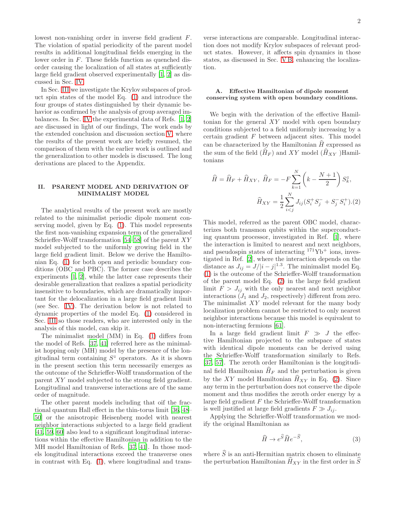lowest non-vanishing order in inverse field gradient F. The violation of spatial periodicity of the parent model results in additional longitudinal fields emerging in the lower order in F. These fields function as quenched disorder causing the localization of all states at sufficiently large field gradient observed experimentally [\[1,](#page-16-0) [2\]](#page-16-1) as discussed in Sec. [IV.](#page-11-0)

In Sec. [III](#page-6-0) we investigate the Krylov subspaces of product spin states of the model Eq. [\(1\)](#page-0-0) and introduce the four groups of states distinguished by their dynamic behavior as confirmed by the analysis of group averaged imbalances. In Sec. [IV](#page-11-0) the experimental data of Refs. [\[1,](#page-16-0) [2](#page-16-1)] are discussed in light of our findings, The work ends by the extended conclusion and discussion section [V,](#page-14-0) where the results of the present work are briefly resumed, the comparison of them with the earlier work is outlined and the generalization to other models is discussed. The long derivations are placed to the Appendix.

## <span id="page-1-0"></span>II. PSARENT MODEL AND DERIVATION OF MINIMALIST MODEL

The analytical results of the present work are mostly related to the minimalist periodic dipole moment conserving model, given by Eq. [\(1\)](#page-0-0). This model represents the first non-vanishing expansion term of the generalized Schrieffer-Wolff transformation [\[54](#page-17-13)[–58\]](#page-17-14) of the parent  $XY$ model subjected to the uniformly growing field in the large field gradient limit. Below we derive the Hamiltonian Eq. [\(1\)](#page-0-0) for both open and periodic boundary conditions (OBC and PBC). The former case describes the experiments [\[1,](#page-16-0) [2](#page-16-1)], while the latter case represents their desirable generalization that realizes a spatial periodicity insensitive to boundaries, which are dramatically important for the delocalization in a large field gradient limit (see Sec. [IV\)](#page-11-0). The derivation below is not related to dynamic properties of the model Eq. [\(1\)](#page-0-0) considered in Sec. [III](#page-6-0) so those readers, who are interested only in the analysis of this model, can skip it.

The minimalist model (MM) in Eq. [\(1\)](#page-0-0) differs from the model of Refs. [\[37,](#page-17-8) [41\]](#page-17-9) referred here as the minimalist hopping only (MH) model by the presence of the longitudinal term containing  $S^z$  operators. As it is shown in the present section this term necessarily emerges as the outcome of the Schrieffer-Wolff transformation of the parent XY model subjected to the strong field gradient. Longitudinal and transverse interactions are of the same order of magnitude.

The other parent models including that oif the fractional quantum Hall effect in the thin-torus limit [\[36,](#page-17-4) [48](#page-17-5)– [50\]](#page-17-6) or the anisotropic Heisenberg model with nearest neighbor interactions subjected to a large field gradient [\[41,](#page-17-9) [59,](#page-17-15) [60](#page-17-16)] also lead to a significant longitudinal interactions within the effective Hamiltonian in addition to the MH model Hamiltonian of Refs. [\[37,](#page-17-8) [41\]](#page-17-9). In those models longitudinal interactions exceed the transverse ones in contrast with Eq. [\(1\)](#page-0-0), where longitudinal and transverse interactions are comparable. Longitudinal interaction does not modify Krylov subspaces of relevant product states. However, it affects spin dynamics in those states, as discussed in Sec. [V B,](#page-15-0) enhancing the localization.

## <span id="page-1-3"></span>A. Effective Hamiltonian of dipole moment conserving system with open boundary conditions.

We begin with the derivation of the effective Hamiltonian for the general XY model with open boundary conditions subjected to a field uniformly increasing by a certain gradient  $F$  between adjacent sites. This model can be characterized by the Hamiltonian  $\hat{H}$  expressed as the sum of the field  $(H_F)$  and XY model  $(H_{XY})$ Hamiltonians

<span id="page-1-1"></span>
$$
\widehat{H} = \widehat{H}_F + \widehat{H}_{XY}, \ \widehat{H}_F = -F \sum_{k=1}^N \left( k - \frac{N+1}{2} \right) S_k^z,
$$

$$
\widehat{H}_{XY} = \frac{1}{2} \sum_{i < j}^N J_{ij} (S_i^+ S_j^- + S_j^- S_i^+). (2)
$$

This model, referred as the parent OBC model, characterizes both transmon qubits within the superconducting quantum processor, investigated in Ref. [\[1\]](#page-16-0), where the interaction is limited to nearest and next neighbors, and pseudospin states of interacting  $171\text{Yb}^+$  ions, investigated in Ref. [\[2\]](#page-16-1), where the interaction depends on the distance as  $J_{ij} = J/|i-j|^{1.3}$ . The minimalist model Eq. [\(1\)](#page-0-0) is the outcome of the Schrieffer-Wolff transformation of the parent model Eq. [\(2\)](#page-1-1) in the large field gradient limit  $F > J_{ij}$  with the only nearest and next neighbor interactions  $(J_1 \text{ and } J_2)$ , respectively) different from zero. The minimalist XY model relevant for the many body localization problem cannot be restricted to only nearest neighbor interactions because this model is equivalent to non-interacting fermions [\[61\]](#page-17-17).

In a large field gradient limit  $F \gg J$  the effective Hamiltonian projected to the subspace of states with identical dipole moments can be derived using the Schrieffer-Wolff transformation similarly to Refs. [\[37,](#page-17-8) [57](#page-17-18)]. The zeroth order Hamiltonian is the longitudinal field Hamiltonian  $\hat{H}_F$  and the perturbation is given by the XY model Hamiltonian  $\hat{H}_{XY}$  in Eq. [\(2\)](#page-1-1). Since any term in the perturbation does not conserve the dipole moment and thus modifies the zeroth order energy by a large field gradient  $F$  the Schrieffer-Wolff transformation is well justified at large field gradients  $F \gg J_{ij}$ .

Applying the Schrieffer-Wolff transformation we modify the original Hamiltonian as

<span id="page-1-2"></span>
$$
\widehat{H} \to e^{\widehat{S}} \widehat{H} e^{-\widehat{S}},\tag{3}
$$

where  $\hat{S}$  is an anti-Hermitian matrix chosen to eliminate the perturbation Hamiltonian  $H_{XY}$  in the first order in S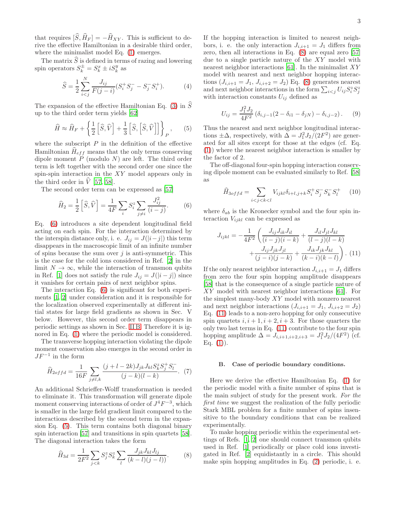that requires  $[\widehat{S}, \widehat{H}_F ] = -\widehat{H}_{XY}$ . This is sufficient to derive the effective Hamiltonian in a desirable third order, where the minimalist model Eq. [\(1\)](#page-0-0) emerges.

The matrix S is defined in terms of razing and lowering spin operators  $S_k^{\pm} = S_k^x \pm i S_k^y$  as

<span id="page-2-5"></span>
$$
\widehat{S} = \frac{1}{2} \sum_{i < j}^{N} \frac{J_{ij}}{F(j-i)} (S_i^+ S_j^- - S_j^- S_i^+). \tag{4}
$$

The expansion of the effective Hamiltonian Eq. [\(3\)](#page-1-2) in  $\widetilde{S}$ up to the third order term yields [\[62](#page-17-19)]

<span id="page-2-2"></span>
$$
\widehat{H} \approx \widehat{H}_F + \left\{ \frac{1}{2} \left[ \widehat{S}, \widehat{V} \right] + \frac{1}{3} \left[ \widehat{S}, \left[ \widehat{S}, \widehat{V} \right] \right] \right\}_P, \qquad (5)
$$

where the subscript  $P$  in the definition of the effective Hamiltonian  $\hat{H}_{eff}$  means that the only terms conserving dipole moment  $\overrightarrow{P}$  (modulo N) are left. The third order term is left together with the second order one since the spin-spin interaction in the XY model appears only in the third order in  $\hat{V}$  [\[57,](#page-17-18) [58\]](#page-17-14).

The second order term can be expressed as [\[57\]](#page-17-18)

<span id="page-2-0"></span>
$$
\widehat{H}_2 = \frac{1}{2} \left[ \widehat{S}, \widehat{V} \right] = \frac{1}{4F} \sum_i S_i^z \sum_{j \neq i} \frac{J_{ij}^2}{(i-j)}.
$$
 (6)

Eq. [\(6\)](#page-2-0) introduces a site dependent longitudinal field acting on each spin. For the interaction determined by the interspin distance only, i. e.  $J_{ij} = J(|i-j|)$  this term disappears in the macroscopic limit of an infinite number of spins because the sum over  $j$  is anti-symmetric. This is the case for the cold ions considered in Ref. [\[2](#page-16-1)] in the limit  $N \to \infty$ , while the interaction of transmon qubits in Ref. [\[1](#page-16-0)] does not satisfy the rule  $J_{ij} = J(|i - j|)$  since it vanishes for certain pairs of next neighbor spins.

The interaction Eq. [\(6\)](#page-2-0) is significant for both experiments [\[1,](#page-16-0) [2\]](#page-16-1) under consideration and it is responsible for the localization observed experimentally at different initial states for large field gradients as shown in Sec. V below. However, this second order term disappears in periodic settings as shown in Sec. [II B.](#page-2-1) Therefore it is ignored in Eq. [\(1\)](#page-0-0) where the periodic model is considered.

The transverse hopping interaction violating the dipole moment conservation also emerges in the second order in  $JF^{-1}$  in the form

<span id="page-2-6"></span>
$$
\widehat{H}_{2offd} = \frac{1}{16F} \sum_{j \neq l,k} \frac{(j+l-2k)J_{jk}J_{kl}S_k^z S_j^+ S_l^-}{(j-k)(l-k)}.
$$
 (7)

An additional Schrieffer-Wolff transformation is needed to eliminate it. This transformation will generate dipole moment conserving interactions of order of  $J^4F^{-3}$ , which is smaller in the large field gradient limit compared to the interactions described by the second term in the expansion Eq. [\(5\)](#page-2-2). This term contains both diagonal binary spin interaction [\[57](#page-17-18)] and transitions in spin quartets [\[58\]](#page-17-14). The diagonal interaction takes the form

<span id="page-2-3"></span>
$$
\widehat{H}_{3d} = \frac{1}{2F^2} \sum_{j < k} S_j^z S_k^z \sum_l \frac{J_{jk} J_{kl} J_{lj}}{(k-l)(j-l)}.
$$
\n(8)

If the hopping interaction is limited to nearest neighbors, i. e. the only interaction  $J_{i,i+1} = J_1$  differs from zero, then all interactions in Eq. [\(8\)](#page-2-3) are equal zero [\[57](#page-17-18)] due to a single particle nature of the XY model with nearest neighbor interactions [\[61\]](#page-17-17). In the minimalist  $XY$ model with nearest and next neighbor hopping interactions  $(J_{i,i+1} = J_1, J_{i,i+2} = J_2)$  Eq. [\(8\)](#page-2-3) generates nearest and next neighbor interactions in the form  $\sum_{i < j} U_{ij} S_i^z S_j^z$ with interaction constants  $U_{ij}$  defined as

<span id="page-2-8"></span>
$$
U_{ij} = \frac{J_1^2 J_2}{4F^2} \left( \delta_{i,j-1} (2 - \delta_{i1} - \delta_{jN}) - \delta_{i,j-2} \right). \tag{9}
$$

Thus the nearest and next neighbor longitudinal interactions  $\pm \Delta$ , respectively, with  $\Delta = J_1^2 J_2/(2F^2)$  are generated for all sites except for those at the edges (cf. Eq. [\(1\)](#page-0-0)) where the nearest neighbor interaction is smaller by the factor of 2.

The off-diagonal four-spin hopping interaction conserving dipole moment can be evaluated similarly to Ref. [\[58](#page-17-14)] as

<span id="page-2-7"></span>
$$
\widehat{H}_{3offd} = \sum_{i < j < k < l} V_{ijkl} \delta_{i+l,j+k} S_i^+ S_j^- S_k^- S_l^+ \tag{10}
$$

where  $\delta_{ab}$  is the Kronecker symbol and the four spin interaction  $V_{ijkl}$  can be expressed as

<span id="page-2-4"></span>
$$
J_{ijkl} = -\frac{1}{4F^2} \left( \frac{J_{ij}J_{ik}J_{il}}{(i-j)(i-k)} + \frac{J_{il}J_{jl}J_{kl}}{(l-j)(l-k)} + \frac{J_{ij}J_{jk}J_{jl}}{(j-i)(j-k)} + \frac{J_{ik}J_{jk}J_{kl}}{(k-i)(k-l)} \right). (11)
$$

If the only nearest neighbor interaction  $J_{i,i+1} = J_1$  differs from zero the four spin hopping amplitude disappears [\[58\]](#page-17-14) that is the consequence of a single particle nature of XY model with nearest neighbor interactions [\[61\]](#page-17-17). For the simplest many-body XY model with nonzero nearest and next neighbor interactions  $(J_{i,i+1} = J_1, J_{i,i+2} = J_2)$ Eq. [\(11\)](#page-2-4) leads to a non-zero hopping for only consecutive spin quartets  $i, i + 1, i + 2, i + 3$ . For those quarters the only two last terms in Eq. [\(11\)](#page-2-4) contribute to the four spin hopping amplitude  $\Delta = J_{i,i+1,i+2,i+3} = J_1^2 J_2 / (4F^2)$  (cf. Eq.  $(1)$ ).

#### <span id="page-2-1"></span>B. Case of periodic boundary conditions.

Here we derive the effective Hamiltonian Eq. [\(1\)](#page-0-0) for the periodic model with a finite number of spins that is the main subject of study for the present work. For the first time we suggest the realization of the fully periodic Stark MBL problem for a finite number of spins insensitive to the boundary conditions that can be realized experimentally.

To make hopping periodic within the experimental settings of Refs. [\[1,](#page-16-0) [2\]](#page-16-1) one should connect transmon qubits used in Ref. [\[1\]](#page-16-0) periodically or place cold ions investigated in Ref. [\[2](#page-16-1)] equidistantly in a circle. This should make spin hopping amplitudes in Eq. [\(2\)](#page-1-1) periodic, i. e.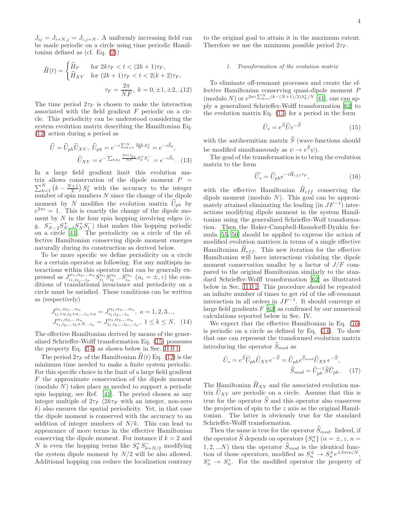$J_{ij} = J_{i+N,j} = J_{i,j+N}$ . A uniformly increasing field can be made periodic on a circle using time periodic Hamiltonian defined as (cf. Eq. [\(2\)](#page-1-1))

<span id="page-3-0"></span>
$$
\widehat{H}(t) = \begin{cases}\n\widehat{H}_F & \text{for } 2k\tau_F < t < (2k+1)\tau_F, \\
\widehat{H}_{XY} & \text{for } (2k+1)\tau_F < t < 2(k+2)\tau_F, \\
\tau_F = \frac{2\pi}{NF}, \ k = 0, \pm 1, \pm 2, \dots (12)\n\end{cases}
$$

The time period  $2\tau_F$  is chosen to make the interaction associated with the field gradient F periodic on a circle. This periodicity can be understood considering the system evolution matrix describing the Hamiltonian Eq. [\(12\)](#page-3-0) action during a period as

<span id="page-3-4"></span>
$$
\hat{U} = \hat{U}_{ph}\hat{U}_{XY}, \ \hat{U}_{ph} = e^{-i\sum_{k=1}^{N} \frac{2\pi k}{N}S_{k}^{z}} = e^{-i\hat{S}_{0}},
$$

$$
\hat{U}_{XY} = e^{-\sum_{k \neq j} \frac{2\pi i J_{kj}}{N F}S_{k}^{+}S_{j}^{-}} = e^{-i\hat{S}_{1}}.
$$
 (13)

In a large field gradient limit this evolution ma- $\sum_{k=1}^{N} (k - \frac{N+1}{2}) S_k^z$  with the accuracy to the integer trix allows conservation of the dipole moment  $P =$ number of spin numbers  $N$  since the change of the dipole moment by N modifies the evolution matrix  $U_{ph}$  by  $e^{2\pi i} = 1$ . This is exactly the change of the dipole moment by  $N$  in the four spin hopping involving edges (e. g.  $S_{N-2}^{-}S_{N-1}^{+}S_{N}^{+}S_{1}^{-}$  that makes this hopping periodic on a circle [\[41\]](#page-17-9). The periodicity on a circle of the effective Hamiltonian conserving dipole moment emerges naturally during its construction as derived below.

To be more specific we define periodicity on a circle for a certain operator as following. For any multispin interactions within this operator that can be generally expressed as  $J_{i_1,i_2,...i_n}^{\alpha_1,\alpha_2,...\alpha_n} S_{i_1}^{\alpha_1} S_{i_2}^{\alpha_2}... S_{i_n}^{\alpha_n} \ (\alpha_i = \pm, z)$  the conditions of translational invariance and periodicity on a circle must be satisfied. These conditions can be written as (respectively)

<span id="page-3-2"></span>
$$
J_{i_1 + a, i_2 + a, \dots, a_n}^{\alpha_1, \alpha_2, \dots, \alpha_n} = J_{i_1, i_2, \dots, i_n}^{\alpha_1, \alpha_2, \dots, \alpha_n}, \quad a = 1, 2, 3 \dots, J_{i_1, i_2, \dots, i_k + N \dots, i_n}^{\alpha_1, \alpha_2, \dots, \alpha_n} = J_{i_1, i_2, \dots, i_k, \dots, i_n}^{\alpha_1, \alpha_2, \dots, \alpha_n}, \quad 1 \le k \le N. \tag{14}
$$

The effective Hamiltonian derived by means of the generalized Schrieffer-Wolff transformation Eq. [\(15\)](#page-3-1) possesses the property Eq. [\(14\)](#page-3-2) as shown below in Sec. [II B 1.](#page-3-3)

The period  $2\tau_F$  of the Hamiltonian  $\hat{H}(t)$  Eq. [\(12\)](#page-3-0) is the minimum time needed to make a finite system periodic. For this specific choice in the limit of a large field gradient F the approximate conservation of the dipole moment (modulo N) takes place as needed to support a periodic spin hopping, see Ref. [\[41](#page-17-9)]. The period chosen as any integer multiple of  $2\tau_F$  ( $2k\tau_F$  with an integer, non-zero k) also ensures the spatial periodicity. Yet, in that case the dipole moment is conserved with the accuracy to an addition of integer numbers of  $N/k$ . This can lead to appearance of more terms in the effective Hamiltonian conserving the dipole moment. For instance if  $k = 2$  and N is even the hopping terms like  $S_k^+ S_{k+N/2}^-$  modifying the system dipole moment by  $N/2$  will be also allowed. Additional hopping can reduce the localization contrary

to the original goal to attain it in the maximum extent. Therefore we use the minimum possible period  $2\tau_F$ .

### <span id="page-3-3"></span>1. Transformation of the evolution matrix

To eliminate off-resonant processes and create the effective Hamiltonian conserving quasi-dipole moment P (modulo N) or  $e^{2\pi i \sum_{k=1}^{N} (k-(N+1)/2)S_k^z/N}$  [\[41](#page-17-9)], one can apply a generalized Schrieffer-Wolff transformation [\[62\]](#page-17-19) to the evolution matrix Eq. [\(13\)](#page-3-4) for a period in the form

<span id="page-3-1"></span>
$$
\tilde{U}_* = e^{\widehat{S}} \widehat{U} e^{-\widehat{S}}
$$
\n(15)

with the antihermitian matrix  $\widehat{S}$  (wave functions should be modified simultaneously as  $\psi \to e^S \psi$ .

The goal of the transformation is to bring the evolution matrix to the form

<span id="page-3-5"></span>
$$
\widehat{U_*} = \widehat{U}_{ph} e^{-i\widehat{H}_{eff}\tau_F},\tag{16}
$$

with the effective Hamiltonian  $\hat{H}_{eff}$  conserving the dipole moment (modulo  $N$ ). This goal can be approximately attained eliminating the leading (in  $JF^{-1}$ ) interactions modifying dipole moment in the system Hamiltonian using the generalized Schrieffer-Wolf transformation. Then the Baker-Campbell-Hausdorff-Dynkin formula [\[55,](#page-17-20) [56](#page-17-21)] should be applied to express the action of modified evolution matrices in terms of a single effective Hamiltonian  $H_{eff}$ . This new iteration for the effective Hamiltonian will have interactions violating the dipole moment conservation smaller by a factor of  $J/F$  compared to the original Hamiltonian similarly to the standard Schrieffer-Wolff transformation [\[62](#page-17-19)] as illustrated below in Sec. [II B 2.](#page-4-0) This procedure should be repeated an infinite number of times to get rid of the off-resonant interaction in all orders in  $JF^{-1}$ . It should converge at large field gradients  $F[63]$  $F[63]$  $F[63]$  as confirmed by our numerical calculations reported below in Sec. IV.

We expect that the effective Hamiltonian in Eq. [\(16\)](#page-3-5) is periodic on a circle as defined by Eq. [\(14\)](#page-3-2). To show that one can represent the transformed evolution matrix introducing the operator  $\widehat{S}_{mod}$  as

<span id="page-3-6"></span>
$$
\tilde{U}_* = e^{\widehat{S}} \widehat{U}_{ph} \widehat{U}_{XY} e^{-\widehat{S}} = \widehat{U}_{ph} e^{\widehat{S}_{mod}} \widehat{U}_{XY} e^{-\widehat{S}},
$$

$$
\widehat{S}_{mod} = \widehat{U}_{ph}^{-1} \widehat{S} \widehat{U}_{ph}. \tag{17}
$$

The Hamiltonian  $\widehat{H}_{XY}$  and the associated evolution matrix  $\hat{U}_{XY}$  are periodic on a circle. Assume that this is true for the operator  $\widehat{S}$  and this operator also conserves the projection of spin to the z axis as the original Hamiltonian. The latter is obviously true for the standard Schrieffer-Wolff transformation.

Then the same is true for the operator  $\widehat{S}_{mod}$ . Indeed, if the operator  $\hat{S}$  depends on operators  $\{S_n^{\alpha}\}\ (\alpha = \pm, z, n =$  $1, 2, ...N$ ) then the operator  $\widehat{S}_{mod}$  is the identical function of those operators, modified as  $S_n^{\pm} \to S_n^{\pm} e^{\pm 2\pi i n/N}$ ,  $S_n^z \to S_n^z$ . For the modified operator the property of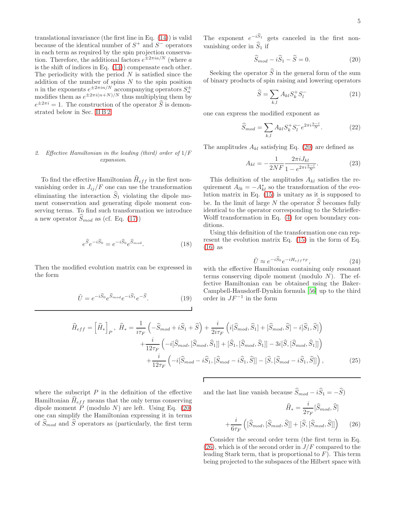translational invariance (the first line in Eq. [\(14\)](#page-3-2)) is valid because of the identical number of  $S^+$  and  $S^-$  operators in each term as required by the spin projection conservation. Therefore, the additional factors  $e^{\pm 2\pi i a/N}$  (where a is the shift of indices in Eq. [\(14\)](#page-3-2)) compensate each other. The periodicity with the period  $N$  is satisfied since the addition of the number of spins  $N$  to the spin position *n* in the exponents  $e^{\pm 2\pi i n/N}$  accompanying operators  $S_n^{\pm}$  modifies them as  $e^{\pm 2\pi i (n+N)/N}$  thus multiplying them by  $e^{\pm 2\pi i} = 1$ . The construction of the operator  $\hat{S}$  is demonstrated below in Sec. [II B 2.](#page-4-0)

## <span id="page-4-0"></span>2. Effective Hamiltonian in the leading (third) order of  $1/F$ expansion.

To find the effective Hamiltonian  $\widehat{H}_{eff}$  in the first nonvanishing order in  $J_{ij}/F$  one can use the transformation eliminating the interaction  $\widehat{S}_1$  violating the dipole moment conservation and generating dipole moment conserving terms. To find such transformation we introduce a new operator  $\hat{S}_{mod}$  as (cf. Eq. [\(17\)](#page-3-6))

$$
e^{\widehat{S}}e^{-i\widehat{S}_0} = e^{-i\widehat{S}_0}e^{\widehat{S}_{mod}}.\tag{18}
$$

Then the modified evolution matrix can be expressed in the form

$$
\tilde{U} = e^{-i\hat{S}_0} e^{\hat{S}_{mod}} e^{-i\hat{S}_1} e^{-\hat{S}}.
$$
\n(19)

The exponent  $e^{-iS_1}$  gets canceled in the first nonvanishing order in  $\widehat{S}_1$  if

<span id="page-4-1"></span>
$$
\widehat{S}_{mod} - i\widehat{S}_1 - \widehat{S} = 0.
$$
\n(20)

Seeking the operator  $\widehat{S}$  in the general form of the sum of binary products of spin raising and lowering operators

$$
\widehat{S} = \sum_{k,l} A_{kl} S_k^+ S_l^- \tag{21}
$$

one can express the modified exponent as

$$
\widehat{S}_{mod} = \sum_{k,l} A_{kl} S_k^+ S_l^- e^{2\pi i \frac{k-l}{N}}.
$$
 (22)

The amplitudes  $A_{kl}$  satisfying Eq. [\(20\)](#page-4-1) are defined as

$$
A_{kl} = -\frac{1}{2NF} \frac{2\pi i J_{kl}}{1 - e^{2\pi i \frac{k-l}{N}}}.
$$
 (23)

This definition of the amplitudes  $A_{kl}$  satisfies the requirement  $A_{lk} = -A_{kl}^*$  so the transformation of the evolution matrix in Eq. [\(15\)](#page-3-1) is unitary as it is supposed to be. In the limit of large N the operator  $\widehat{S}$  becomes fully identical to the operator corresponding to the Schrieffer-Wolff transformation in Eq. [\(4\)](#page-2-5) for open boundary conditions.

Using this definition of the transformation one can represent the evolution matrix Eq. [\(15\)](#page-3-1) in the form of Eq. [\(16\)](#page-3-5) as

$$
\tilde{U} \approx e^{-i\hat{S}_0} e^{-iH_{eff}\tau_F},\tag{24}
$$

with the effective Hamiltonian containing only resonant terms conserving dipole moment (modulo  $N$ ). The effective Hamiltonian can be obtained using the Baker-Campbell-Hausdorff-Dynkin formula [\[56\]](#page-17-21) up to the third order in  $JF^{-1}$  in the form

<span id="page-4-3"></span>
$$
\widehat{H}_{eff} = \left[\widehat{H}_*\right]_P, \quad \widehat{H}_* = \frac{1}{i\tau_F} \left(-\widehat{S}_{mod} + i\widehat{S}_1 + \widehat{S}\right) + \frac{i}{2i\tau_F} \left(i[\widehat{S}_{mod}, \widehat{S}_1] + [\widehat{S}_{mod}, \widehat{S}] - i[\widehat{S}_1, \widehat{S}]\right) \n+ \frac{i}{12\tau_F} \left(-i[\widehat{S}_{mod}, [\widehat{S}_{mod}, \widehat{S}_1]] + [\widehat{S}_1, [\widehat{S}_{mod}, \widehat{S}_1]] - 3i[\widehat{S}, [\widehat{S}_{mod}, \widehat{S}_1]]\right) \n+ \frac{i}{12\tau_F} \left(-i[\widehat{S}_{mod} - i\widehat{S}_1, [\widehat{S}_{mod} - i\widehat{S}_1, \widehat{S}]] - [\widehat{S}, [\widehat{S}_{mod} - i\widehat{S}_1, \widehat{S}]]\right),
$$
\n(25)

where the subscript  $P$  in the definition of the effective Hamiltonian  $H_{eff}$  means that the only terms conserving dipole moment  $P$  (modulo  $N$ ) are left. Using Eq. [\(20\)](#page-4-1) one can simplify the Hamiltonian expressing it in terms of  $\widehat{S}_{mod}$  and  $\widehat{S}$  operators as (particularly, the first term and the last line vanish because  $\widehat{S}_{mod} - i\widehat{S}_1 = -\widehat{S}$ 

<span id="page-4-2"></span>
$$
\widehat{H}_{*} = \frac{i}{2\tau_F} [\widehat{S}_{mod}, \widehat{S}] + \frac{i}{6\tau_F} \left( [\widehat{S}_{mod}, \widehat{S}]] + [\widehat{S}, [\widehat{S}_{mod}, \widehat{S}]] \right) \tag{26}
$$

Consider the second order term (the first term in Eq.  $(26)$ , which is of the second order in  $J/F$  compared to the leading Stark term, that is proportional to  $F$ ). This term being projected to the subspaces of the Hilbert space with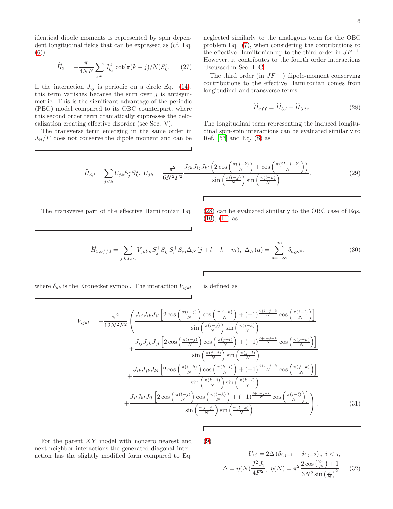identical dipole moments is represented by spin dependent longitudinal fields that can be expressed as (cf. Eq. [\(6\)](#page-2-0))

$$
\hat{H}_2 = -\frac{\pi}{4NF} \sum_{j,k} J_{kj}^2 \cot(\pi(k-j)/N) S_k^z.
$$
 (27)

If the interaction  $J_{ij}$  is periodic on a circle Eq. [\(14\)](#page-3-2), this term vanishes because the sum over  $j$  is antisymmetric. This is the significant advantage of the periodic (PBC) model compared to its OBC counterpart, where this second order term dramatically suppresses the delocalization creating effective disorder (see Sec. V).

The transverse term emerging in the same order in  $J_{ij}/F$  does not conserve the dipole moment and can be neglected similarly to the analogous term for the OBC problem Eq. [\(7\)](#page-2-6), when considering the contributions to the effective Hamiltonian up to the third order in  $JF^{-1}$ . However, it contributes to the fourth order interactions discussed in Sec. [II C.](#page-6-1)

The third order (in  $JF^{-1}$ ) dipole-moment conserving contributions to the effective Hamiltonian comes from longitudinal and transverse terms

<span id="page-5-0"></span>
$$
\widehat{H}_{eff} = \widehat{H}_{3,l} + \widehat{H}_{3,tr}.
$$
\n(28)

The longitudinal term representing the induced longitudinal spin-spin interactions can be evaluated similarly to Ref. [\[57\]](#page-17-18) and Eq. [\(8\)](#page-2-3) as

$$
\widehat{H}_{3,l} = \sum_{j < k} U_{jk} S_j^z S_k^z, \ U_{jk} = \frac{\pi^2}{6N^2 F^2} \frac{J_{jk} J_{lj} J_{kl} \left( 2 \cos\left(\frac{\pi (j - k)}{N}\right) + \cos\left(\frac{\pi (2l - j - k)}{N}\right) \right)}{\sin\left(\frac{\pi (l - j)}{N}\right) \sin\left(\frac{\pi (l - k)}{N}\right)}.
$$
\n
$$
(29)
$$

Г

Г

The transverse part of the effective Hamiltonian Eq. [\(28\)](#page-5-0) can be evaluated similarly to the OBC case of Eqs.

[\(10\)](#page-2-7), [\(11\)](#page-2-4) as

<span id="page-5-1"></span>
$$
\widehat{H}_{3,offd} = \sum_{j,k,l,m} V_{jklm} S_j^+ S_k^- S_l^+ S_m^- \Delta_N (j + l - k - m), \ \Delta_N(a) = \sum_{p=-\infty}^{\infty} \delta_{a,pN},\tag{30}
$$

where  $\delta_{ab}$  is the Kronecker symbol. The interaction  $V_{ijkl}$  is defined as

$$
V_{ijkl} = -\frac{\pi^2}{12N^2F^2} \left( \frac{J_{ij}J_{ik}J_{il}\left[2\cos\left(\frac{\pi(i-j)}{N}\right)\cos\left(\frac{\pi(i-k)}{N}\right) + (-1)^{\frac{i+l-j-k}{N}}\cos\left(\frac{\pi(i-l)}{N}\right)\right]}{\sin\left(\frac{\pi(i-j)}{N}\right)\sin\left(\frac{\pi(i-k)}{N}\right)} + \frac{J_{ij}J_{jk}J_{jl}\left[2\cos\left(\frac{\pi(i-j)}{N}\right)\cos\left(\frac{\pi(j-l)}{N}\right) + (-1)^{\frac{i+l-j-k}{N}}\cos\left(\frac{\pi(j-k)}{N}\right)\right]}{\sin\left(\frac{\pi(j-i)}{N}\right)\sin\left(\frac{\pi(j-l)}{N}\right)} + \frac{J_{ik}J_{jk}J_{kl}\left[2\cos\left(\frac{\pi(i-k)}{N}\right)\cos\left(\frac{\pi(k-l)}{N}\right) + (-1)^{\frac{i+l-j-k}{N}}\cos\left(\frac{\pi(j-k)}{N}\right)\right]}{\sin\left(\frac{\pi(k-i)}{N}\right)\sin\left(\frac{\pi(k-l)}{N}\right)} + \frac{J_{il}J_{kl}J_{il}\left[2\cos\left(\frac{\pi(l-j)}{N}\right)\cos\left(\frac{\pi(l-k)}{N}\right) + (-1)^{\frac{i+l-j-k}{N}}\cos\left(\frac{\pi(i-l)}{N}\right)\right]}{\sin\left(\frac{\pi(l-j)}{N}\right)\sin\left(\frac{\pi(l-k)}{N}\right)} \right). \tag{31}
$$

For the parent XY model with nonzero nearest and next neighbor interactions the generated diagonal interaction has the slightly modified form compared to Eq. [\(9\)](#page-2-8)

Г

$$
U_{ij} = 2\Delta \left(\delta_{i,j-1} - \delta_{i,j-2}\right), \ i < j,
$$
  

$$
\Delta = \eta(N) \frac{J_1^2 J_2}{4F^2}, \ \eta(N) = \pi^2 \frac{2 \cos \left(\frac{2\pi}{N}\right) + 1}{3N^2 \sin \left(\frac{\pi}{N}\right)^2}.
$$
 (32)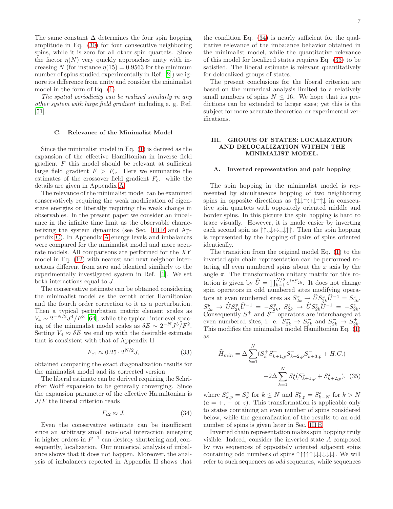The same constant  $\Delta$  determines the four spin hopping amplitude in Eq. [\(30\)](#page-5-1) for four consecutive neighboring spins, while it is zero for all other spin quartets. Since the factor  $\eta(N)$  very quickly approaches unity with increasing N (for instance  $\eta(15) = 0.9563$  for the minimum number of spins studied experimentally in Ref. [\[2](#page-16-1)]) we ignore its difference from unity and consider the minimalist model in the form of Eq. [\(1\)](#page-0-0).

The spatial periodicity can be realized similarly in any other system with large field gradient including e. g. Ref. [\[51\]](#page-17-7).

#### <span id="page-6-1"></span>C. Relevance of the Minimalist Model

Since the minimalist model in Eq. [\(1\)](#page-0-0) is derived as the expansion of the effective Hamiltonian in inverse field gradient  $F$  this model should be relevant at sufficient large field gradient  $F > F_c$ . Here we summarize the estimates of the crossover field gradient  $F_c$ . while the details are given in Appendix [A.](#page-18-0)

The relevance of the minimalist model can be examined conservatively requiring the weak modification of eigenstate energies or liberally requiring the weak change in observables. In the present paper we consider an imbalance in the infinite time limit as the observable characterizing the system dynamics (see Sec. [III F](#page-9-0) and Appendix [C\)](#page-26-0). In Appendix [A](#page-18-0) energy levels and imbalances were compared for the minimalist model and more accurate models. All comparisons are performed for the XY model in Eq. [\(12\)](#page-3-0) with nearest and next neighbor interactions different from zero and identical similarly to the experimentally investigated system in Ref. [\[1\]](#page-16-0). We set both interactions equal to J.

The conservative estimate can be obtained considering the minimalist model as the zeroth order Hamiltonian and the fourth order correction to it as a perturbation. Then a typical perturbation matrix element scales as  $V_4 \sim 2^{-N/2} J^4/F^3$  [\[64\]](#page-17-23), while the typical interlevel spaceing of the minimalist model scales as  $\delta E \sim 2^{-N} J^3 / F^2$ . Setting  $V_4 \approx \delta E$  we end up with the desirable estimate that is consistent with that of Appendix II

<span id="page-6-3"></span>
$$
F_{c1} \approx 0.25 \cdot 2^{N/2} J,\tag{33}
$$

obtained comparing the exact diagonalization results for the minimalist model and its corrected version.

The liberal estimate can be derived requiring the Schrieffer Wolff expansion to be generally converging. Since the expansion parameter of the effective Ha,miltonian is  $J/F$  the liberal criterion reads

<span id="page-6-2"></span>
$$
F_{c2} \approx J,\tag{34}
$$

Even the conservative estimate can be insufficient since an arbitrary small non-local interaction emerging in higher orders in  $F^{-1}$  can destroy shuttering and, consequently, localization. Our numerical analysis of imbalance shows that it does not happen. Moreover, the analysis of imbalances reported in Appendix II shows that

the condition Eq. [\(34\)](#page-6-2) is nearly sufficient for the qualitative relevance of the imba;ance behavior obtained in the minimalist model, while the quantitative relevance of this model for localized states requires Eq. [\(33\)](#page-6-3) to be satisfied. The liberal estimate is relevant quantitatively for delocalized groups of states.

The present conclusions for the liberal criterion are based on the numerical analysis limited to a relatively small numbers of spins  $N \leq 16$ . We hope that its predictions can be extended to larger sizes; yet this is the subject for more accurate theoretical or experimental verifications.

### <span id="page-6-0"></span>III. GROUPS OF STATES: LOCALIZATION AND DELOCALIZATION WITHIN THE MINIMALIST MODEL.

### A. Inverted representation and pair hopping

The spin hopping in the minimalist model is represented by simultaneous hopping of two neighboring spins in opposite directions as ↑↓↓↑↔↓↑↑↓ in consecutive spin quartets with oppositely oriented middle and border spins. In this picture the spin hopping is hard to trace visually. However, it is made easier by inverting each second spin as  $\uparrow \downarrow \downarrow \leftrightarrow \downarrow \downarrow \uparrow \uparrow$ . Then the spin hopping is represented by the hopping of pairs of spins oriented identically.

The transition from the original model Eq. [\(1\)](#page-0-0) to the inverted spin chain representation can be performed rotating all even numbered spins about the  $x$  axis by the angle  $\pi$ . The transformation unitary matrix for this rotation is given by  $\widehat{U} = \prod_{k=1}^{N/2} e^{i\pi S_{2k}^x}$ . It does not change spin operators in odd numbered sites modifying operators at even numbered sites as  $S_{2k}^x \to \tilde{U} S_{2k}^x \tilde{U}^{-1} = S_{2k}^x$ ,  $S_{2k}^y \rightarrow \hat{U}S_{2k}^y \hat{U}^{-1} = -S_{2k}^y, \ S_{2k}^z \rightarrow \hat{U}S_{2k}^z \hat{U}^{-1} = -S_{2k}^z.$ Consequently  $S^+$  and  $S^-$  operators are interchanged at even numbered sites, i. e.  $S_{2k}^+ \rightarrow S_{2k}^-$  and  $S_{2k}^- \rightarrow S_{2k}^+$ . This modifies the minimalist model Hamiltonian Eq. [\(1\)](#page-0-0) as

$$
\widehat{H}_{min} = \Delta \sum_{k=1}^{N} (S_k^+ S_{k+1,p}^+ S_{k+2,p}^- S_{k+3,p}^- + H.C.)
$$

$$
-2\Delta \sum_{k=1}^{N} S_k^z (S_{k+1,p}^z + S_{k+2,p}^z), (35)
$$

where  $S_{k,p}^a = S_k^a$  for  $k \leq N$  and  $S_{k,p}^a = S_{k-N}^a$  for  $k > N$  $(a = +, -\alpha r)$ . This transformation is applicable only to states containing an even number of spins considered below, while the generalization of the results to an odd number of spins is given later in Sec. [III E.](#page-9-1)

Inverted chain representation makes spin hopping truly visible. Indeed, consider the inverted state A composed by two sequences of oppositely oriented adjacent spins containing odd numbers of spins ↑↑↑↑↑↓↓↓↓↓↓↓. We will refer to such sequences as odd sequences, while sequences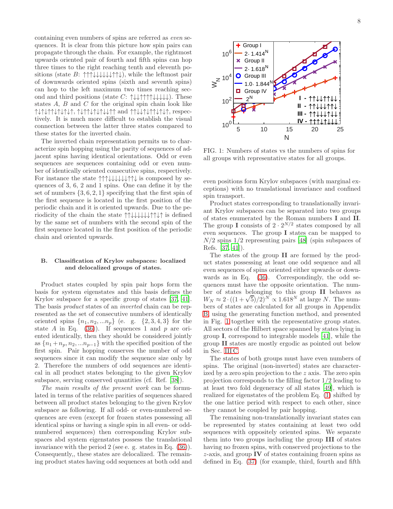containing even numbers of spins are referred as even sequences. It is clear from this picture how spin pairs can propagate through the chain. For example, the rightmost upwards oriented pair of fourth and fifth spins can hop three times to the right reaching tenth and eleventh positions (state B:  $\uparrow \uparrow \downarrow \downarrow \downarrow \downarrow \uparrow \uparrow \downarrow$ ), while the leftmost pair of downwards oriented spins (sixth and seventh spins) can hop to the left maximum two times reaching second and third positions (state  $C: \uparrow \downarrow \downarrow \uparrow \uparrow \uparrow \uparrow \downarrow \downarrow \downarrow \downarrow$ ). These states  $A$ ,  $B$  and  $C$  for the original spin chain look like ↑↓↑↓↑↑↓↑↓↑↓↑, ↑↓↑↑↓↑↓↑↓↓↑↑ and ↑↑↓↓↑↓↑↑↓↑↓↑, respectively. It is much more difficult to establish the visual connection between the latter three states compared to these states for the inverted chain.

The inverted chain representation permits us to characterize spin hopping using the parity of sequences of adjacent spins having identical orientations. Odd or even sequences are sequences containing odd or even number of identically oriented consecutive spins, respectively. For instance the state ↑↑↑↓↓↓↓↓↓↑↑↓ is composed by sequences of 3, 6, 2 and 1 spins. One can define it by the set of numbers  $\{3, 6, 2, 1\}$  specifying that the first spin of the first sequence is located in the first position of the periodic chain and it is oriented upwards. Due to the periodicity of the chain the state ↑↑↓↓↓↓↓↓↑↑↓↑ is defined by the same set of numbers with the second spin of the first sequence located in the first position of the periodic chain and oriented upwards.

## <span id="page-7-1"></span>B. Classification of Krylov subspaces: localized and delocalized groups of states.

Product states coupled by spin pair hops form the basis for system eigenstates and this basis defines the Krylov subspace for a specific group of states [\[37](#page-17-8), [41\]](#page-17-9). The basis product states of an inverted chain can be represented as the set of consecutive numbers of identically oriented spins  $\{n_1, n_2, ... n_p\}$  (e. g.  $\{2, 3, 4, 3\}$  for the state A in Eq.  $(36)$ ). If sequences 1 and p are oriented identically, then they should be considered jointly as  ${n_1+n_p, n_2, ... n_{p-1}}$  with the specified position of the first spin. Pair hopping conserves the number of odd sequences since it can modify the sequence size only by 2. Therefore the numbers of odd sequences are identical in all product states belonging to the given Krylov subspace, serving conserved quantities (cf. Ref. [\[38](#page-17-11)]).

The main results of the present work can be formulated in terms of the relative parities of sequences shared between all product states belonging to the given Krylov subspace as following. If all odd- or even-numbered sequences are even (except for frozen states possessing all identical spins or having a single spin in all even- or oddnumbered sequences) then corresponding Krylov subspaces abd system eigenstates possess the translational invariance with the period 2 (see e. g. states in Eq. [\(36\)](#page-8-0)). Consequently,, these states are delocalized. The remaining product states having odd sequences at both odd and

<span id="page-7-0"></span>

FIG. 1: Numbers of states vs the numbers of spins for all groups with representative states for all groups.

even positions form Krylov subspaces (with marginal exceptions) with no translational invariance and confined spin transport.

Product states corresponding to translationally invariant Krylov subspaces can be separated into two groups of states enumerated by the Roman numbers I and II. The group I consists of  $2 \cdot 2^{N/2}$  states composed by all even sequences. The group I states can be mapped to  $N/2$  spins  $1/2$  representing pairs [\[48\]](#page-17-5) (spin subspaces of Refs. [\[37,](#page-17-8) [41\]](#page-17-9)).

The states of the group II are formed by the product states possessing at least one odd sequence and all even sequences of spins oriented either upwards or downwards as in Eq. [\(36\)](#page-8-0). Correspondingly, the odd sequences must have the opposite orientation. The number of states belonging to this group II behaves as  $W_N \approx 2 \cdot ((1 + \sqrt{5})/2)^N \propto 1.618^N$  at large N. The numbers of states are calculated for all groups in Appendix [B,](#page-21-0) using the generating function method, and presented in Fig. [1](#page-7-0) together with the representative group states. All sectors of the Hilbert space spanned by states lying in group I, correspond to integrable models [\[41\]](#page-17-9), while the group II states are mostly ergodic as pointed out below in Sec. [III C.](#page-8-1)

The states of both groups must have even numbers of spins. The original (non-inverted) states are characterized by a zero spin projection to the z axis. The zero spin projection corresponds to the filling factor 1/2 leading to at least two fold degeneracy of all states [\[49\]](#page-17-24), which is realized for eigenstates of the problem Eq. [\(1\)](#page-0-0) shifted by the one lattice period with respect to each other, since they cannot be coupled by pair hopping.

The remaining non-translationally invariant states can be represented by states containing at least two odd sequences with oppositely oriented spins. We separate them into two groups including the group III of states having no frozen spins, with conserved projections to the  $z$ -axis, and group IV of states containing frozen spins as defined in Eq. [\(37\)](#page-9-2) (for example, third, fourth and fifth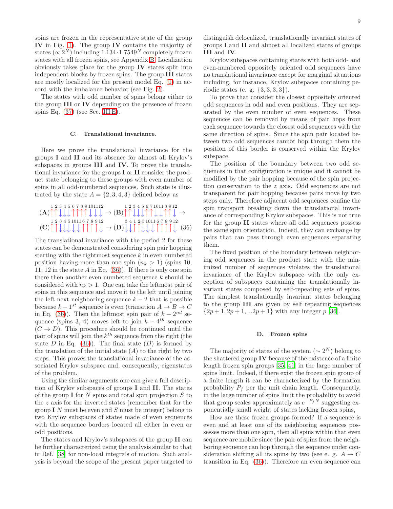spins are frozen in the representative state of the group IV in Fig. [1\)](#page-7-0). The group IV contains the majority of states  $(\propto 2^N)$  including 1.134·1.7549<sup>N</sup> completely frozen states with all frozen spins, see Appendix [B.](#page-21-0) Localization obviously takes place for the group IV states split into independent blocks by frozen spins. The group III states are mostly localized for the present model Eq. [\(1\)](#page-0-0) in accord with the imbalance behavior (see Fig. [2\)](#page-9-3).

The states with odd number of spins belong either to the group III or IV depending on the presence of frozen spins Eq.  $(37)$  (see Sec. [III E\)](#page-9-1).

## <span id="page-8-1"></span>C. Translational invariance.

Here we prove the translational invariance for the groups I and II and its absence for almost all Krylov's subspaces in groups III and IV. To prove the translational invariance for the groups I or II consider the product state belonging to these groups with even number of spins in all odd-numbered sequences. Such state is illustrated by the state  $A = \{2, 3, 4, 3\}$  defined below as

<span id="page-8-0"></span>
$$
(\mathbf{A}) \uparrow \uparrow \downarrow \downarrow \uparrow \uparrow \uparrow \uparrow \downarrow \downarrow \rightarrow (\mathbf{B}) \uparrow \uparrow \downarrow \downarrow \uparrow \uparrow \uparrow \downarrow \downarrow \rightarrow
$$
  
\n
$$
(\mathbf{A}) \uparrow \uparrow \downarrow \downarrow \uparrow \uparrow \uparrow \uparrow \uparrow \downarrow \downarrow \downarrow \rightarrow (\mathbf{B}) \uparrow \uparrow \downarrow \downarrow \uparrow \uparrow \downarrow \downarrow \uparrow \uparrow \downarrow \downarrow \uparrow \uparrow \downarrow \rightarrow
$$
  
\n
$$
(\mathbf{C}) \uparrow \uparrow \downarrow \downarrow \downarrow \downarrow \uparrow \uparrow \uparrow \uparrow \downarrow \rightarrow (\mathbf{D}) \downarrow \downarrow \uparrow \uparrow \uparrow \downarrow \downarrow \uparrow \uparrow \uparrow \uparrow \downarrow \rightarrow (\mathbf{36})
$$

The translational invariance with the period 2 for these states can be demonstrated considering spin pair hopping starting with the rightmost sequence  $k$  in even numbered position having more than one spin  $(n_k > 1)$  (spins 10, 11, 12 in the state A in Eq.  $(36)$ ). If there is only one spin there then another even numbered sequence  $k$  should be considered with  $n_k > 1$ . One can take the leftmost pair of spins in this sequence and move it to the left until joining the left next neighboring sequence  $k - 2$  that is possible because  $k - 1^{st}$  sequence is even (transition  $A \to B \to C$ in Eq. [\(36\)](#page-8-0)). Then the leftmost spin pair of  $k - 2^{nd}$  sequence (spins 3, 4) moves left to join  $k - 4$ <sup>th</sup> sequence  $(C \rightarrow D)$ . This procedure should be continued until the pair of spins will join the  $k^{th}$  sequence from the right (the state D in Eq.  $(36)$ . The final state  $(D)$  is formed by the translation of the initial state  $(A)$  to the right by two steps. This proves the translational invariance of the associated Krylov subspace and, consequently, eigenstates of the problem.

Using the similar arguments one can give a full description of Krylov subspaces of groups I and II. The states of the group  $\mathbf I$  for N spins and total spin projection S to the  $z$  axis for the inverted states (remember that for the group  $I N$  must be even and  $S$  must be integer) belong to two Krylov subspaces of states made of even sequences with the sequence borders located all either in even or odd positions.

The states and Krylov's subspaces of the group II can be further characterized using the analysis similar to that in Ref. [\[38](#page-17-11)] for non-local integrals of motion. Such analysis is beyond the scope of the present paper targeted to distinguish delocalized, translationally invariant states of groups I and II and almost all localized states of groups III and IV.

Krylov subspaces containing states with both odd- and even-numbered oppositely oriented odd sequences have no translational invariance except for marginal situations including, for instance, Krylov subspaces containing periodic states (e. g. {3, 3, 3, 3}).

To prove that consider the closest oppositely oriented odd sequences in odd and even positions. They are separated by the even number of even sequences. These sequences can be removed by means of pair hops from each sequence towards the closest odd sequences with the same direction of spins. Since the spin pair located between two odd sequences cannot hop through them the position of this border is conserved within the Krylov subspace.

The position of the boundary between two odd sequences in that configuration is unique and it cannot be modified by the pair hopping because of the spin projection conservation to the z axis. Odd sequences are not transparent for pair hopping because pairs move by two steps only. Therefore adjacent odd sequences confine the spin transport breaking down the translational invariance of corresponding Krylov subspaces. This is not true for the group II states where all odd sequences possess the same spin orientation. Indeed, they can exchange by pairs that can pass through even sequences separating them.

The fixed position of the boundary between neighboring odd sequences in the product state with the minimized number of sequences violates the translational invariance of the Krylov subspace with the only exception of subspaces containing the translationally invariant states composed by self-repeating sets of spins. The simplest translationally invariant states belonging to the group III are given by self repeating sequences  $\{2p+1, 2p+1, ... 2p+1\}$  with any integer p [\[36\]](#page-17-4).

#### D. Frozen spins

The majority of states of the system  $({\sim 2^N})$  belong to the shattered group  $\mathbf{IV}$  because of the existence of a finite length frozen spin groups [\[35,](#page-17-2) [41\]](#page-17-9) in the large number of spins limit. Indeed, if there exist the frozen spin group of a finite length it can be characterized by the formation probability  $P_f$  per the unit chain length. Consequently, in the large number of spins limit the probability to avoid that group scales approximately as  $e^{-P_fN}$  suggesting exponentially small weight of states lacking frozen spins,

How are these frozen groups formed? If a sequence is even and at least one of its neighboring sequences possesses more than one spin, then all spins within that even sequence are mobile since the pair of spins from the neighboring sequence can hop through the sequence under consideration shifting all its spins by two (see e. g.  $A \rightarrow C$ transition in Eq. [\(36\)](#page-8-0)). Therefore an even sequence can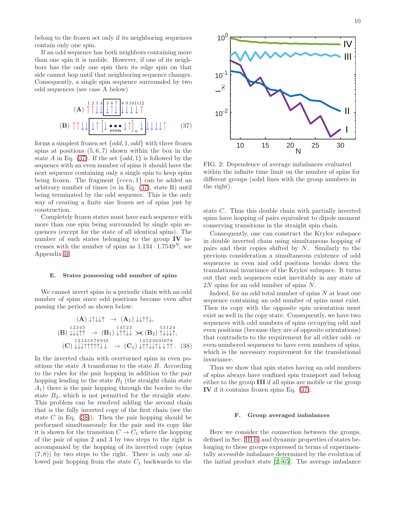belong to the frozen set only if its neighboring sequences contain only one spin.

If an odd sequence has both neighbors containing more than one spin it is mobile. However, if one of its neighbors has the only one spin then its edge spin on that side cannot hop until that neighboring sequence changes. Consequently, a single spin sequence surrounded by two odd sequences (see case A below)

<span id="page-9-2"></span>
$$
(A) \uparrow \uparrow \downarrow \downarrow \uparrow \uparrow \downarrow \uparrow
$$

$$
(B) \uparrow \uparrow \downarrow \downarrow \uparrow \uparrow \downarrow \downarrow \uparrow \uparrow \downarrow \downarrow \downarrow \uparrow
$$

$$
(B) \uparrow \uparrow \downarrow \downarrow \uparrow \uparrow \downarrow \downarrow \uparrow \uparrow \downarrow \downarrow \downarrow \uparrow \uparrow \downarrow \downarrow \downarrow \uparrow \uparrow
$$

$$
(37)
$$

forms a simplest frozen set  $\{odd, 1, odd\}$  with three frozen spins at positions  $(5, 6, 7)$  shown within the box in the state A in Eq. [\(37\)](#page-9-2). If the set  $\{odd, 1\}$  is followed by the sequence with an even number of spins it should have the next sequence containing only a single spin to keep spins being frozen. The fragment  $\{even, 1\}$  can be added an arbitrary number of times  $(n \text{ in Eq. } (37), \text{ state } B)$  $(n \text{ in Eq. } (37), \text{ state } B)$  $(n \text{ in Eq. } (37), \text{ state } B)$  until being terminated by the odd sequence. This is the only way of creating a finite size frozen set of spins just by construction.

Completely frozen states must have each sequence with more than one spin being surrounded by single spin sequences (except for the state of all identical spins). The number of such states belonging to the group IV increases with the number of spins as  $1.134 \cdot 1.7549^N$ , see Appendix [B.](#page-21-0)

#### <span id="page-9-1"></span>E. States possessing odd number of spins

We cannot invert spins in a periodic chain with an odd number of spins since odd positions become even after passing the period as shown below:

<span id="page-9-4"></span>
$$
\begin{array}{rcl}\n\text{(A)} \downarrow \uparrow \downarrow \uparrow & \rightarrow & \text{(A}_1) \downarrow \downarrow \uparrow \uparrow \downarrow, \\
\text{(B)} \downarrow \downarrow \downarrow \uparrow \uparrow & \rightarrow & \text{(B}_1) \downarrow \uparrow \uparrow \downarrow \downarrow & \rightarrow & \text{(B}_2) \uparrow \downarrow \downarrow \downarrow \uparrow, \\
\text{(B)} \downarrow \downarrow \downarrow \uparrow \uparrow & \rightarrow & \text{(B}_1) \downarrow \uparrow \uparrow \downarrow \downarrow & \rightarrow & \text{(B}_2) \uparrow \downarrow \downarrow \downarrow \uparrow, \\
\text{(C)} \downarrow \downarrow \downarrow \uparrow \uparrow \uparrow \uparrow \downarrow \downarrow & \rightarrow & \text{(C}_1) \downarrow \uparrow \uparrow \downarrow \downarrow \downarrow \uparrow \uparrow \quad & \text{(38)}\n\end{array}
$$

In the inverted chain with overturned spins in even positions the state A transforms to the state  $B$ . According to the rules for the pair hopping in addition to the pair hopping leading to the state  $B_1$  (the straight chain state  $A_1$ ) there is the pair hopping through the border to the state  $B_2$ , which is not permitted for the straight state. This problem can be resolved adding the second chain that is the fully inverted copy of the first chain (see the state C in Eq.  $(38)$ . Then the pair hopping should be performed simultaneously for the pair and its copy like it is shown for the transition  $C \to C_1$  where the hopping of the pair of spins 2 and 3 by two steps to the right is accompanied by the hopping of its inverted copy (spins  $(7, 8)$ ) by two steps to the right. There is only one allowed pair hopping from the state  $C_1$  backwards to the

<span id="page-9-3"></span>

N

FIG. 2: Dependence of average imbalances evaluated within the infinite time limit on the number of spins for different groups (solid lines with the group numbers in the right).

state C. Thus this double chain with partially inverted spins have hopping of pairs equivalent to dipole moment conserving transitions in the straight spin chain.

Consequently, one can construct the Krylov subspace in double inverted chain using simultaneous hopping of pairs and their copies shifted by N. Similarly to the previous consideration a simultaneous existence of odd sequences in even and odd positions breaks down the translational invariance of the Krylov subspace. It turns out that such sequences exist inevitably in any state of 2N spins for an odd number of spins N.

Indeed, for an odd total number of spins  $N$  at least one sequence containing an odd number of spins must exist. Then its copy with the opposite spin orientation must exist as well in the copy state. Consequently, we have two sequences with odd numbers of spins occupying odd and even positions (because they are of opposite orientations) that contradicts to the requirement for all either odd- or even-numbered sequences to have even numbers of spins, which is the necessary requirement for the translational invariance.

Thus we show that spin states having an odd numbers of spins always have confined spin transport and belong either to the group III if all spins are mobile or the group IV if it contains frozen spins Eq. [\(37\)](#page-9-2).

#### <span id="page-9-0"></span>F. Group averaged imbalances

Here we consider the connection between the groups, defined in Sec. [III B,](#page-7-1) and dynamic properties of states belonging to these groups expressed in terms of experimentally accessible imbalance determined by the evolution of the initial product state [\[2](#page-16-1), [65\]](#page-17-25). The average imbalance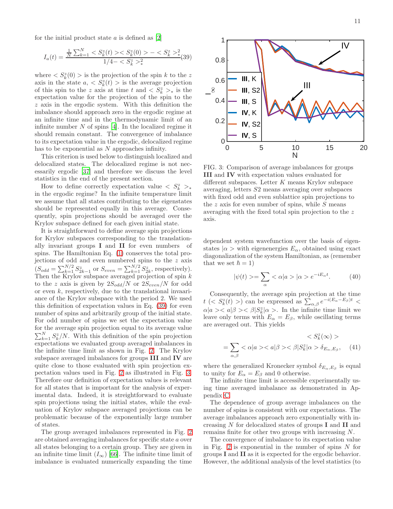for the initial product state  $a$  is defined as  $[2]$ 

<span id="page-10-0"></span>
$$
I_a(t) = \frac{\frac{1}{N} \sum_{k=1}^{N} < S_k^z(t) > < S_k^z(0) > - < S_k^z >^2}{1/4 - < S_k^z >^2} (39)
$$

where  $\langle S_k^z(0) \rangle$  is the projection of the spin k to the z axis in the state  $a, \langle S_k^z(t) \rangle$  is the average projection of this spin to the z axis at time t and  $\langle S_k^z \rangle_*$  is the expectation value for the projection of the spin to the z axis in the ergodic system. With this definition the imbalance should approach zero in the ergodic regime at an infinite time and in the thermodynamic limit of an infinite number  $N$  of spins [\[4](#page-16-14)]. In the localized regime it should remain constant. The convergence of imbalance to its expectation value in the ergodic, delocalized regime has to be exponential as N approaches infinity.

This criterion is used below to distinguish localized and delocalized states. The delocalized regime is not necessarily ergodic [\[37](#page-17-8)] and therefore we discuss the level statistics in the end of the present section.

How to define correctly expectation value  $\langle S_k^z \rangle_*$ in the ergodic regime? In the infinite temperature limit we assume that all states contributing to the eigenstates should be represented equally in this average. Consequently, spin projections should be averaged over the Krylov subspace defined for each given initial state.

It is straightforward to define average spin projections for Krylov subspaces corresponding to the translationally invariant groups I and II for even numbers of spins. The Hamiltonian Eq. [\(1\)](#page-0-0) conserves the total projections of odd and even numbered spins to the z axis  $(S_{odd} = \sum_{k=1}^{N/2} S_{2k-1}^z$  or  $S_{even} = \sum_{k=1}^{N/2} S_{2k}^z$ , respectively). Then the Krylov subspace averaged projection of spin  $k$ to the z axis is given by  $2S_{odd}/N$  or  $2S_{even}/N$  for odd or even  $k$ , respectively, due to the translational invaariance of the Krylov subspace with the period 2. We used this definition of expectation values in Eq. [\(39\)](#page-10-0) for even number of spins and arbitrarily group of the initial state. For odd number of spins we set the expectation value for the average spin projection equal to its average value  $\sum_{k=1}^{N} S_k^z/N$ . With this definition of the spin projection expectations we evaluated group averaged imbalances in the infinite time limit as shown in Fig. [2.](#page-9-3) The Krylov subspace averaged imbalances for groups III and IV are quite close to those evaluated with spin projection expectation values used in Fig. [2](#page-9-3) as illustrated in Fig. [3.](#page-10-1) Therefore our definition of expectation values is relevant for all states that is important for the analysis of experimental data. Indeed, it is streightforward to evaluate spin projections using the initial states, while the evaluation of Krylov subspace averaged projections can be problematic because of the exponentially large number of states.

The group averaged imbalances represented in Fig. [2](#page-9-3) are obtained averaging imbalances for specific state a over all states belonging to a certain group. They are given in an infinite time limit  $(I_{\infty})$  [\[66\]](#page-18-1). The infinite time limit of imbalance is evaluated numerically expanding the time

<span id="page-10-1"></span>

FIG. 3: Comparison of average imbalances for groups III and IV with expectation values evaluated for different subspaces. Letter  $K$  means Krylov subspace averaging, letters S2 means averaging over subspaces with fixed odd and even sublattice spin projections to the  $z$  axis for even number of spins, while  $S$  means averaging with the fixed total spin projection to the z axis.

dependent system wavefunction over the basis of eigenstates  $|\alpha\rangle$  with eigenenergies  $E_{\alpha}$ , obtained using exact diagonalization of the system Hamiltonian, as (remember that we set  $\hbar = 1$ )

$$
|\psi(t)\rangle = \sum_{\alpha} \langle \alpha | a \rangle |\alpha \rangle e^{-iE_{\alpha}t}.
$$
 (40)

Consequently, the average spin projection at the time  $t \ (< S_k^z(t) > )$  can be expressed as  $\sum_{\alpha,\beta} e^{-i(E_\alpha - E_\beta)t} <$  $\alpha |a \rangle < a|\beta \rangle < \beta |S_k^z|\alpha \rangle$ . In the infinite time limit we leave only terms with  $E_{\alpha} = E_{\beta}$ , while oscillating terms are averaged out. This yields

$$
\langle S_k^z(\infty) \rangle
$$
  
=  $\sum_{\alpha,\beta}$   $\langle \alpha | a \rangle \langle a | \beta \rangle \langle \beta | S_k^z | \alpha \rangle \delta_{E_\alpha,E_\beta},$  (41)

where the generalized Kronecker symbol  $\delta_{E_{\alpha},E_{\beta}}$  is equal to unity for  $E_{\alpha} = E_{\beta}$  and 0 otherwise.

The infinite time limit is accessible experimentally using time averaged imbalance as demonstrated in Appendix [C.](#page-26-0)

The dependence of group average imbalances on the number of spins is consistent with our expectations. The average imbalances approach zero exponentially with increasing N for delocalized states of groups I and II and remains finite for other two groups with increasing N.

The convergence of imbalance to its expectation value in Fig. [2](#page-9-3) is exponential in the number of spins  $N$  for groups I and II as it is expected for the ergodic behavior. However, the additional analysis of the level statistics (to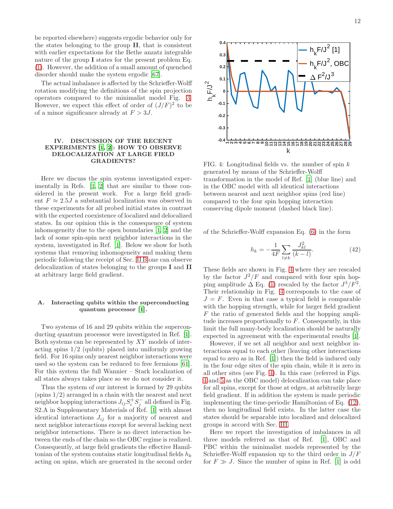be reported elsewhere) suggests ergodic behavior only for the states belonging to the group II, that is consistent with earlier expectations for the Bethe anzatz integrable nature of the group I states for the present problem Eq. [\(1\)](#page-0-0). However, the addition of a small amount of quenched disorder should make the system ergodic [\[67\]](#page-18-2).

The actual imbalance is affected by the Schrieffer-Wolff rotation modifying the definitions of the spin projection operators compared to the minimalist model Fig. [3.](#page-10-1) However, we expect this effect of order of  $(J/F)^2$  to be of a minor significance already at  $F > 3J$ .

## <span id="page-11-0"></span>IV. DISCUSSION OF THE RECENT EXPERIMENTS [\[1](#page-16-0), [2](#page-16-1)]: HOW TO OBSERVE DELOCALIZATION AT LARGE FIELD GRADIENTS?

Here we discuss the spin systems investigated experimentally in Refs. [\[1,](#page-16-0) [2\]](#page-16-1) that are similar to those considered in the present work. For a large field gradient  $F \approx 2.5J$  a substantial localization was observed in these experiments for all probed initial states in contrast with the expected coexistence of localized and delocalized states. In our opinion this is the consequence of system inhomogeneity due to the open boundaries [\[1,](#page-16-0) [2](#page-16-1)] and the lack of some spin-spin next neighbor interactions in the system, investigated in Ref. [\[1\]](#page-16-0). Below we show for both systems that removing inhomogeneity and making them periodic following the receipt of Sec. [II B](#page-2-1) one can observe delocalization of states belonging to the groups I and II at arbitrary large field gradient.

## <span id="page-11-2"></span>A. Interacting qubits within the superconducting quantum processor [\[1\]](#page-16-0).

Two systems of 16 and 29 qubits within the superconducting quantum processor were investigated in Ref. [\[1\]](#page-16-0). Both systems can be represented by XY models of interacting spins 1/2 (qubits) placed into uniformly growing field. For 16 spins only nearest neighbor interactions were used so the system can be reduced to free fermions [\[61\]](#page-17-17). For this system the full Wannier – Stark localization of all states always takes place so we do not consider it.

Thus the system of our interest is formed by 29 qubits  $(\text{spins } 1/2)$  arranged in a chain with the nearest and next neighbor hopping interactions  $J_{ij}S_i^+S_j^-$  all defined in Fig. S2.A in Supplementary Materials of Ref. [\[1](#page-16-0)] with almost identical interactions  $J_{ij}$  for a majority of nearest and next neighbor interactions except for several lacking next neighbor interactions. There is no direct interaction between the ends of the chain so the OBC regime is realized. Consequently, at large field gradients the effective Hamiltonian of the system contains static longitudinal fields  $h_k$ acting on spins, which are generated in the second order

<span id="page-11-1"></span>

FIG. 4: Longitudinal fields vs. the number of spin  $k$ generated by means of the Schrieffer-Wolff transformation in the model of Ref. [\[1](#page-16-0)] (blue line) and in the OBC model with all identical interactions between nearest and next neighbor spins (red line) compared to the four spin hopping interaction conserving dipole moment (dashed black line).

of the Schrieffer-Wolff expansion Eq. [\(6\)](#page-2-0) in the form

$$
h_k = -\frac{1}{4F} \sum_{l \neq k} \frac{J_{kl}^2}{(k-l)}.
$$
\n(42)

These fields are shown in Fig. [4](#page-11-1) where they are rescaled by the factor  $J^2/F$  and compared with four spin hopping amplitude  $\Delta$  Eq. [\(1\)](#page-0-0) rescaled by the factor  $J^3/F^2$ . Their relationship in Fig. [4](#page-11-1) corresponds to the case of  $J = F$ . Even in that case a typical field is comparable with the hopping strength, while for larger field gradient  $F$  the ratio of generated fields and the hopping amplitude increases proportionally to  $F$ . Consequently, in this limit the full many-body localization should be naturally expected in agreement with the experimental results [\[1\]](#page-16-0).

However, if we set all neighbor and next neighbor interactions equal to each other (leaving other interactions equal to zero as in Ref. [\[1\]](#page-16-0)) then the field is induced only in the four edge sites of the spin chain, while it is zero in all other sites (see Fig. [4\)](#page-11-1). In this case (referred in Figs. [4](#page-11-1) and [5](#page-12-0) as the OBC model) delocalization can take place for all spins, except for those at edges, at arbitrarily large field gradient. If in addition the system is made periodic implementing the time-periodic Hamiltonian of Eq. [\(12\)](#page-3-0), then no longitudinal field exists. In the latter case the states should be separable into localized and delocalized groups in accord with Sec. [III.](#page-6-0)

Here we report the investigation of imbalances in all three models referred as that of Ref. [\[1](#page-16-0)], OBC and PBC within the minimalist models represented by the Schrieffer-Wolff expansion up to the third order in  $J/F$ for  $F \gg J$ . Since the number of spins in Ref. [\[1](#page-16-0)] is odd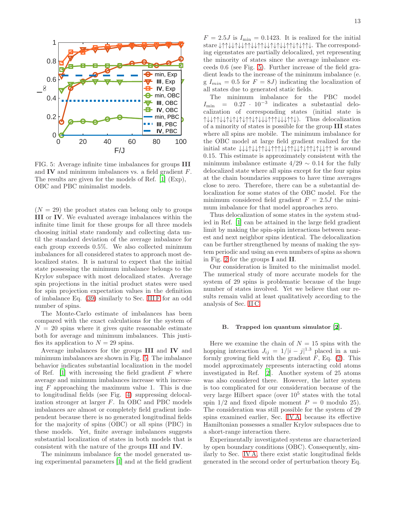<span id="page-12-0"></span>

FIG. 5: Average infinite time imbalances for groups III and IV and minimum imbalances vs. a field gradient F. The results are given for the models of Ref. [\[1\]](#page-16-0) (Exp), OBC and PBC minimalist models.

 $(N = 29)$  the product states can belong only to groups III or IV. We evaluated average imbalances within the infinite time limit for these groups for all three models choosing initial state randomly and collecting data until the standard deviation of the average imbalance for each group exceeds 0.5%. We also collected minimum imbalances for all considered states to approach most delocalized states. It is natural to expect that the initial state possessing the minimum imbalance belongs to the Krylov subspace with most delocalized states. Average spin projections in the initial product states were used for spin projection expectation values in the definition of imbalance Eq. [\(39\)](#page-10-0) similarly to Sec. [III F](#page-9-0) for an odd number of spins.

The Monte-Carlo estimate of imbalances has been compared with the exact calculations for the system of  $N = 20$  spins where it gives quite reasonable estimate both for average and minimum imbalances. This justifies its application to  $N = 29$  spins.

Average imbalances for the groups III and IV and minimum imbalances are shown in Fig. [5.](#page-12-0) The imbalance behavior indicates substantial localization in the model of Ref.  $[1]$  with increasing the field gradient F where average and minimum imbalances increase with increasing  $F$  approaching the maximum value 1. This is due to longitudinal fields (see Fig. [4\)](#page-11-1) suppressing delocalization stronger at larger F. In OBC and PBC models imbalances are almost or completely field gradient independent because there is no generated longitudinal fields for the majority of spins (OBC) or all spins (PBC) in these models. Yet, finite average imbalances suggests substantial localization of states in both models that is consistent with the nature of the groups III and IV.

The minimum imbalance for the model generated using experimental parameters [\[1\]](#page-16-0) and at the field gradient

 $F = 2.5J$  is  $I_{\text{min}} = 0.1423$ . It is realized for the initial stare ↓↑↑↓↓↑↓↓↑↑↓↓↑↑↓↓↑↓↑↓↓↑↑↓↑↓↑↑↓. The corresponding eigenstates are partially delocalized, yet representing the minority of states since the average imbalance exceeds 0.6 (see Fig. [5\)](#page-12-0). Further increase of the field gradient leads to the increase of the minimum imbalance (e. g  $I_{min} = 0.5$  for  $F = 8J$ ) indicating the localization of all states due to generated static fields.

The minimum imbalance for the PBC model  $I_{\min}$  = 0.27 · 10<sup>-3</sup> indicates a substantial delocalization of corresponding states (initial state is ↑↓↓↑↑↓↓↑↓↑↓↑↓↑↑↓↑↓↓↓↑↑↑↓↓↓↑↑↓). Thus delocalization of a minority of states is possible for the group III states where all spins are mobile. The minimum imbalance for the OBC model at large field gradient realized for the initial state ↓↓↓↑↓↓↑↑↓↓↑↑↑↓↓↑↑↓↓↑↓↑↑↓↑↓↓↑↑ is around 0.15. This estimate is approximately consistent with the minimum imbalance estimate  $4/29 \sim 0.14$  for the fully delocalized state where all spins except for the four spins at the chain boundaries supposes to have time averages close to zero. Therefore, there can be a substantial delocalization for some states of the OBC model. For the minimum considered field gradient  $F = 2.5J$  the minimum imbalance for that model approaches zero.

Thus delocalization of some states in the system studied in Ref. [\[1\]](#page-16-0) can be attained in the large field gradient limit by making the spin-spin interactions between nearest and next neighbor spins identical. The delocalization can be further strengthened by means of making the system periodic and using an even numbers of spins as shown in Fig. [2](#page-9-3) for the groups I and II.

Our consideration is limited to the minimalist model. The numerical study of more accurate models for the system of 29 spins is problematic because of the huge number of states involved. Yet we believe that our results remain valid at least qualitatively according to the analysis of Sec. [II C.](#page-6-1)

#### B. Trapped ion quantum simulator [\[2](#page-16-1)].

Here we examine the chain of  $N = 15$  spins with the hopping interaction  $J_{ij} = 1/|i - j|^{1.3}$  placed in a uniformly growing field with the gradient  $F$ , Eq. [\(2\)](#page-1-1). This model approximately represents interacting cold atoms investigated in Ref. [\[2](#page-16-1)]. Another system of 25 atoms was also considered there. However, the latter system is too complicated for our consideration because of the very large Hilbert space (over  $10^5$  states with the total spin  $1/2$  and fixed dipole moment  $P = 0$  modulo 25). The consideration was still possible for the system of 29 spins examined earlier, Sec. [IV A,](#page-11-2) because its effective Hamiltonian possesses a smaller Krylov subspaces due to a short-range interaction there.

Experimentally investigated systems are characterized by open boundary conditions (OBC). Consequently, similarly to Sec. [IV A,](#page-11-2) there exist static longitudinal fields generated in the second order of perturbation theory Eq.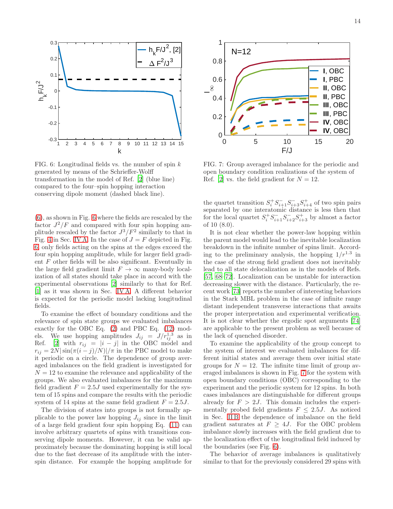<span id="page-13-0"></span>

FIG. 6: Longitudinal fields vs. the number of spin  $k$ generated by means of the Schrieffer-Wolff transformation in the model of Ref. [\[2](#page-16-1)] (blue line) compared to the four–spin hopping interaction conserving dipole moment (dashed black line).

[\(6\)](#page-2-0), as shown in Fig. [6](#page-13-0) where the fields are rescaled by the factor  $J^2/F$  and compared with four spin hopping amplitude rescaled by the factor  $J^3/F^2$  similarly to that in Fig. [4](#page-11-1) in Sec. [IV A.](#page-11-2) In the case of  $J = F$  depicted in Fig. [6,](#page-13-0) only fields acting on the spins at the edges exceed the four spin hopping amplitude, while for larger field gradient  $F$  other fields will be also significant. Eventually in the large field gradient limit  $F \to \infty$  many-body localization of all states should take place in accord with the experimental observations [\[2](#page-16-1)] similarly to that for Ref. [\[1\]](#page-16-0) as it was shown in Sec. [IV A.](#page-11-2) A different behavior is expected for the periodic model lacking longitudinal fields.

To examine the effect of boundary conditions and the relevance of spin state groups we evaluated imbalances exactly for the OBC Eq. [\(2\)](#page-1-1) and PBC Eq. [\(12\)](#page-3-0) models. We use hopping amplitudes  $J_{ij} = J/r_{ij}^{1.3}$  as in Ref. [\[2](#page-16-1)] with  $r_{ij} = |i - j|$  in the OBC model and  $r_{ij} = 2N|\sin(\pi(i-j)/N)|/\pi$  in the PBC model to make it periodic on a circle. The dependence of group averaged imbalances on the field gradient is investigated for  $N = 12$  to examine the relevance and applicability of the groups. We also evaluated imbalances for the maximum field gradient  $F = 2.5J$  used experimentally for the system of 15 spins and compare the results with the periodic system of 14 spins at the same field gradient  $F = 2.5J$ .

The division of states into groups is not formally applicable to the power law hopping  $J_{ij}$  since in the limit of a large field gradient four spin hopping Eq. [\(11\)](#page-2-4) can involve arbitrary quartets of spins with transitions conserving dipole moments. However, it can be valid approximately because the dominating hopping is still local due to the fast decrease of its amplitude with the interspin distance. For example the hopping amplitude for

<span id="page-13-1"></span>

FIG. 7: Group averaged imbalance for the periodic and open boundary condition realizations of the system of Ref. [\[2\]](#page-16-1) vs. the field gradient for  $N = 12$ .

the quartet transition  $S_i^+ S_{i+1}^- S_{i+3}^- S_{i+4}^+$  of two spin pairs separated by one interatomic distance is less then that for the local quartet  $S_i^+ S_{i+1}^- S_{i+2}^- S_{i+3}^+$  by almost a factor of 10 (8.0).

It is not clear whether the power-law hopping within the parent model would lead to the inevitable localization breakdown in the infinite number of spins limit. According to the preliminary analysis, the hopping  $1/r^{1.3}$  in the case of the strong field gradient does not inevitably lead to all state delocalization as in the models of Refs. [\[57,](#page-17-18) [68](#page-18-3)[–72\]](#page-18-4). Localization can be unstable for interaction decreasing slower with the distance. Particularly, the recent work [\[73](#page-18-5)] reports the number of interesting behaviors in the Stark MBL problem in the case of infinite range distant independent transverse interactions that awaits the proper interpretation and experimental verification. It is not clear whether the ergodic spot arguments [\[74](#page-18-6)] are applicable to the present problem as well because of the lack of quenched disorder.

To examine the applicability of the group concept to the system of interest we evaluated imbalances for different initial states and average them over initial state groups for  $N = 12$ . The infinite time limit of group averaged imbalances is shown in Fig. [7](#page-13-1) for the system with open boundary conditions (OBC) corresponding to the experiment and the periodic system for 12 spins. In both cases imbalances are distinguishable for different groups already for  $F > 2J$ . This domain includes the experimentally probed field gradients  $F \n\leq 2.5J$ . As noticed in Sec. [II B](#page-2-1) the dependence of imbalance on the field gradient saturates at  $F \geq 4J$ . For the OBC problem imbalance slowly increases with the field gradient due to the localization effect of the longitudinal field induced by the boundaries (see Fig. [6\)](#page-13-0).

The behavior of average imbalances is qualitatively similar to that for the previously considered 29 spins with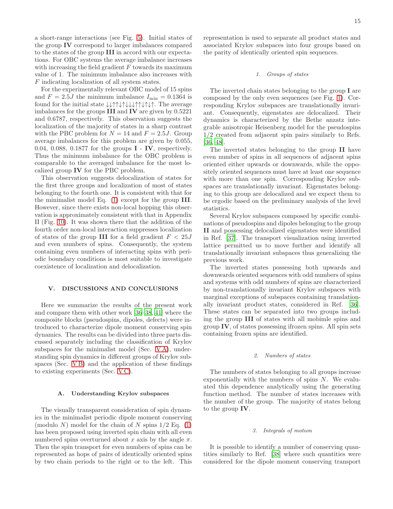a short-range interactions (see Fig. [5\)](#page-12-0). Initial states of the group IV correspond to larger imbalances compared to the states of the group III in accord with our expectations. For OBC systems the average imbalance increases with increasing the field gradient  $F$  towards its maximum value of 1. The minimum imbalance also increases with F indicating localization of all system states.

For the experimentally relevant OBC model of 15 spins and  $F = 2.5J$  the minimum imbalance  $I_{\text{min}} = 0.1364$  is found for the initial state ↓↓↑↑↓↑↓↓↓↑↑↓↑↓↑. The average imbalances for the groups III and IV are given by 0.5221 and 0.6787, respectively. This observation suggests the localization of the majority of states in a sharp contrast with the PBC problem for  $N = 14$  and  $F = 2.5J$ . Group average imbalances for this problem are given by 0.055, 0.04, 0.088, 0.1877 for the groups I - IV, respectively. Thus the minimum imbalance for the OBC problem is comparable to the averaged imbalance for the most localized group IV for the PBC problem.

This observation suggests delocalization of states for the first three groups and localization of most of states belonging to the fourth one. It is consistent with that for the minimalist model Eq. [\(1\)](#page-0-0) except for the group III. However, since there exists non-local hopping this observation is approximately consistent with that in Appendix II (Fig. [10\)](#page-21-1). It was shown there that the addition of the fourth order non-local interaction suppresses localization of states of the group III for a field gradient  $F < 25J$ and even numbers of spins. Consequently, the system containing even numbers of interacting spins with periodic boundary conditions is most suitable to investigate coexistence of localization and delocalization.

### <span id="page-14-0"></span>V. DISCUSSIONS AND CONCLUSIONS

Here we summarize the results of the present work and compare them with other work [\[36](#page-17-4)[–38](#page-17-11), [41\]](#page-17-9) where the composite blocks (pseudospins, dipoles, defects) were introduced to characterize dipole moment conserving spin dynamics. The results can be divided into three parts discussed separately including the classification of Krylov subspaces for the minimalist model (Sec. [V A\)](#page-14-1), understanding spin dynamics in different groups of Krylov subspaces (Sec. VB) and the application of these findings to existing experiments (Sec. [V C\)](#page-15-1).

#### <span id="page-14-1"></span>A. Understanding Krylov subspaces

The visually transparent consideration of spin dynamics in the minimalist periodic dipole moment conserving (modulo N) model for the chain of N spins  $1/2$  Eq. [\(1\)](#page-0-0) has been proposed using inverted spin chain with all even numbered spins overturned about x axis by the angle  $\pi$ . Then the spin transport for even numbers of spins can be represented as hops of pairs of identically oriented spins by two chain periods to the right or to the left. This

representation is used to separate all product states and associated Krylov subspaces into four groups based on the parity of identically oriented spin sequences.

#### 1. Groups of states

The inverted chain states belonging to the group I are composed by the only even sequences (see Fig. [1\)](#page-7-0). Corresponding Krylov subspaces are translationally invariant. Consequently, eigenstates are delocalized. Their dynamics is characterized by the Bethe anzatz integrable anisotropic Heisenberg model for the pseudospins 1/2 created from adjacent spin pairs similarly to Refs. [\[36,](#page-17-4) [48\]](#page-17-5).

The inverted states belonging to the group II have even number of spins in all sequences of adjacent spins oriented either upwards or downwards, while the oppositely oriented sequences must have at least one sequence with more than one spin. Corresponding Krylov subspaces are translationally invariant. Eigenstates belonging to this group are delocalized and we expect them to be ergodic based on the preliminary analysis of the level statistics.

Several Krylov subspaces composed by specific combinations of pseudospins and dipoles belonging to the group II and possessing delocalized eigenstates were identified in Ref. [\[37](#page-17-8)]. The transport visualization using inverted lattice permitted us to move further and identify all translationally invariant subspaces thus generalizing the previous work.

The inverted states possessing both upwards and downwards oriented sequences with odd numbers of spins and systems with odd numbers of spins are characterized by non-translationally invariant Krylov subspaces with marginal exceptions of subspaces containing translationally invariant product states, considered in Ref. [\[36\]](#page-17-4). These states can be separated into two groups including the group III of states with all mobimle spins and group IV, of states possessing ifrozen spins. All spin sets containing frozen spins are identified.

#### 2. Numbers of states

The numbers of states belonging to all groups increase exponentially with the numbers of spins  $N$ . We evaluated this dependence analytically using the generating function method. The number of states increases with the number of the group. The majority of states belong to the group IV.

## 3. Integrals of motion

It is possible to identify a number of conserving quantities similarly to Ref. [\[38](#page-17-11)] where such quantities were considered for the dipole moment conserving transport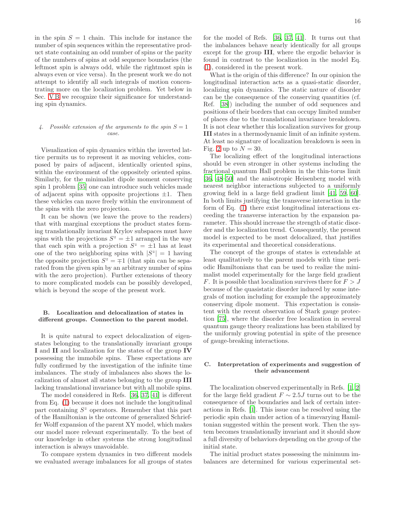in the spin  $S = 1$  chain. This include for instance the number of spin sequences within the representative product state containing an odd number of spins or the parity of the numbers of spins at odd sequence boundaries (the leftmost spin is always odd, while the rightmost spin is always even or vice versa). In the present work we do not attempt to identify all such integrals of motion concentrating more on the localization problem. Yet below in Sec. VB we recognize their significance for understanding spin dynamics.

## 4. Possible extension of the arguments to the spin  $S = 1$ case.

Visualization of spin dynamics within the inverted lattice permits us to represent it as moving vehicles, composed by pairs of adjacent, identically oriented spins, within the environment of the oppositely oriented spins. Similarly, for the minimalist dipole moment conserving spin 1 problem [\[35](#page-17-2)] one can introduce such vehicles made of adjacent spins with opposite projections  $\pm 1$ . Then these vehicles can move freely within the environment of the spins with the zero projection.

It can be shown (we leave the prove to the readers) that with marginal exceptions the product states forming translationally invariant Krylov subspaces must have spins with the projections  $S^z = \pm 1$  arranged in the way that each spin with a projection  $S^z = \pm 1$  has at least one of the two neighboring spins with  $|S^z| = 1$  having the opposite projection  $S^z = \pm 1$  (that spin can be separated from the given spin by an arbitrary number of spins with the zero projection). Further extensions of theory to more complicated models can be possibly developed, which is beyond the scope of the present work.

## <span id="page-15-0"></span>B. Localization and delocalization of states in different groups. Connection to the parent model.

It is quite natural to expect delocalization of eigenstates belonging to the translationally invariant groups I and II and localization for the states of the group IV possessing the immobile spins. These expectations are fully confirmed by the investigation of the infinite time imbalances. The study of imbalances also shows the localization of almost all states belonging to the group III lacking translational invariance but with all mobile spins.

The model considered in Refs. [\[36](#page-17-4), [37,](#page-17-8) [41\]](#page-17-9) is different from Eq. [\(1\)](#page-0-0) because it does not include the longitudinal part containing  $S<sup>z</sup>$  operators. Remember that this part of the Hamiltonian is the outcome of generalized Schrieffer Wolff expansion of the parent XY model, which makes our model more relevant experimentally. To the best of our knowledge in other systems the strong longitudinal interaction is always unavoidable.

To compare system dynamics in two different models we evaluated average imbalances for all groups of states 16

for the model of Refs. [\[36,](#page-17-4) [37,](#page-17-8) [41\]](#page-17-9). It turns out that the imbalances behave nearly identically for all groups except for the group III, where the ergodic behavior is found in contrast to the localization in the model Eq. [\(1\)](#page-0-0), considered in the present work.

What is the origin of this difference? In our opinion the longitudinal interaction acts as a quasi-static disorder, localizing spin dynamics. The static nature of disorder can be the consequence of the conserving quantities (cf. Ref. [\[38](#page-17-11)]) including the number of odd sequences and positions of their borders that can occupy limited number of places due to the translational invariance breakdown. It is not clear whether this localization survives for group III states in a thermodynamic limit of an infinite system. At least no signature of localization breakdown is seen in Fig. [2](#page-9-3) up to  $N = 30$ .

The localizing effect of the longitudinal interactions should be even stronger in other systems including the fractional quantum Hall problem in the thin-torus limit [\[36,](#page-17-4) [48](#page-17-5)[–50\]](#page-17-6) and the anisotropic Heisenberg model with nearest neighbor interactions subjected to a uniformly growing field in a large field gradient limit [\[41](#page-17-9), [59,](#page-17-15) [60\]](#page-17-16). In both limits justifying the transverse interaction in the form of Eq. [\(1\)](#page-0-0) there exist longitudinal interactions exceeding the transverse interaction by the expansion parameter. This should increase the strength of static disorder and the localization trend. Consequently, the present model is expected to be most delocalized, that justifies its experimental and theoretical considerations.

The concept of the groups of states is extendable at least qualitatively to the parent models with time periodic Hamiltonians that can be used to realize the minimalist model experimentally for the large field gradient F. It is possible that localization survives there for  $F > J$ because of the quasistatic disorder induced by some integrals of motion including for example the approximately conserving dipole moment. This expectation is consistent with the recent observation of Stark gauge protection [\[75\]](#page-18-7), where the disorder free localization in several quantum gauge theory realizations has been stabilized by the uniformly growing potential in spite of the presence of gauge-breaking interactions.

## <span id="page-15-1"></span>C. Interpretation of experiments and suggestion of their advancement

The localization observed experimentally in Refs. [\[1](#page-16-0), [2](#page-16-1)] for the large field gradient  $F \sim 2.5J$  turns out to be the consequence of the boundaries and lack of certain interactions in Refs. [\[1\]](#page-16-0). This issue can be resolved using the periodic spin chain under action of a timevarying Hamiltonian suggested within the present work. Then the system becomes translationally invariant and it should show a full diversity of behaviors depending on the group of the initial state.

The initial product states possessing the minimum imbalances are determined for various experimental set-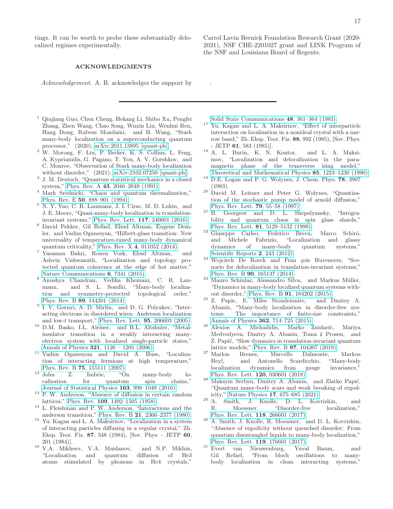tings. It can be worth to probe these substantially delocalized regimes experimentally.

## ACKNOWLEDGMENTS

Acknowledgement. A. B. acknowledges the support by

- <span id="page-16-0"></span><sup>1</sup> Qiujiang Guo, Chen Cheng, Hekang Li, Shibo Xu, Pengfei Zhang, Zhen Wang, Chao Song, Wuxin Liu, Wenhui Ren, Hang Dong, Rubem Mondaini, and H. Wang, "Stark many-body localization on a superconducting quantum processor," (2020), [arXiv:2011.13895 \[quant-ph\].](http://arxiv.org/abs/2011.13895)
- <span id="page-16-1"></span> $2 \text{ W. Morong, F. Liu, P. Becker, K. S. Collins, L. Feng,$ A. Kyprianidis, G. Pagano, T. You, A. V. Gorshkov, and C. Monroe, "Observation of Stark many-body localization without disorder," (2021), [arXiv:2102.07250 \[quant-ph\].](http://arxiv.org/abs/2102.07250)
- <span id="page-16-2"></span>3 J. M. Deutsch, "Quantum statistical mechanics in a closed system," Phys. Rev. A 43[, 2046–2049 \(1991\).](http://dx.doi.org/ 10.1103/PhysRevA.43.2046)
- <span id="page-16-14"></span><sup>4</sup> Mark Srednicki, "Chaos and quantum thermalization," Phys. Rev. E 50[, 888–901 \(1994\).](http://dx.doi.org/10.1103/PhysRevE.50.888)
- <span id="page-16-3"></span><sup>5</sup> N. Y. Yao, C. R. Laumann, J. I. Cirac, M. D. Lukin, and J. E. Moore, "Quasi-many-body localization in translationinvariant systems," [Phys. Rev. Lett.](http://dx.doi.org/ 10.1103/PhysRevLett.117.240601) 117, 240601 (2016).
- <span id="page-16-4"></span><sup>6</sup> David Pekker, Gil Refael, Ehud Altman, Eugene Demler, and Vadim Oganesyan, "Hilbert-glass transition: New universality of temperature-tuned many-body dynamical quantum criticality," Phys. Rev. X 4[, 011052 \(2014\).](http://dx.doi.org/10.1103/PhysRevX.4.011052)
- <sup>7</sup> Yasaman Bahri, Ronen Vosk, Ehud Altman, and Ashvin Vishwanath, "Localization and topology protected quantum coherence at the edge of hot matter," [Nature Communications](http://dx.doi.org/ 10.1038/ncomms8341) 6, 7341 (2015).
- <span id="page-16-5"></span><sup>8</sup> Anushya Chandran, Vedika Khemani, C. R. Laumann, and S. L. Sondhi, "Many-body localization and symmetry-protected topological order," Phys. Rev. B 89[, 144201 \(2014\).](http://dx.doi.org/ 10.1103/PhysRevB.89.144201)
- <span id="page-16-6"></span>9 I. V. Gornyi, A. D. Mirlin, and D. G. Polyakov, "Interacting electrons in disordered wires: Anderson localization and low-t transport," [Phys. Rev. Lett.](http://dx.doi.org/10.1103/PhysRevLett.95.206603) 95, 206603 (2005).
- <sup>10</sup> D.M. Basko, I.L. Aleiner, and B.L. Altshuler, "Metalinsulator transition in a weakly interacting manyelectron system with localized single-particle states," Annals of Physics 321[, 1126 – 1205 \(2006\).](http://dx.doi.org/http://dx.doi.org/10.1016/j.aop.2005.11.014)
- <sup>11</sup> Vadim Oganesyan and David A. Huse, "Localization of interacting fermions at high temperature,"
- <span id="page-16-7"></span>Phys. Rev. B **75**[, 155111 \(2007\).](http://dx.doi.org/ 10.1103/PhysRevB.75.155111)<br><sup>12</sup> John Z. Imbrie, "O. Z. Imbrie, "On many-body localization for quantum spin chains," [Journal of Statistical Physics](http://dx.doi.org/ 10.1007/s10955-016-1508-x) 163, 998–1048 (2016).
- <span id="page-16-8"></span><sup>13</sup> P. W. Anderson, "Absence of diffusion in certain random lattices," Phys. Rev. 109[, 1492–1505 \(1958\).](http://dx.doi.org/ 10.1103/PhysRev.109.1492)
- <span id="page-16-9"></span><sup>14</sup> L. Fleishman and P. W. Anderson, "Interactions and the anderson transition," Phys. Rev. B 21[, 2366–2377 \(1980\).](http://dx.doi.org/10.1103/PhysRevB.21.2366)
- <span id="page-16-10"></span><sup>15</sup> Yu. Kagan and L. A. Maksirnov, "Localization in a system of interacting particles diffusing in a regular crystal," Zh. Eksp. Teor. Fiz. 87, 348 (1984), [Sov. Phys. - JETP 60, 201 (1984)].
- <sup>16</sup> V.A. Mikheev, V.A. Maidanov, and N.P. Mikhin, "Localization and quantum diffusion of He<sup>3</sup> and quantum diffusion of He3 atoms stimulated by phonons in He4 crystals,"

Carrol Lavin Bernick Foundation Research Grant (2020- 2021), NSF CHE-2201027 grant and LINK Program of the NSF and Louisiana Board of Regents.

[Solid State Communications](http://dx.doi.org/https://doi.org/10.1016/0038-1098(83)90741-X) 48, 361–364 (1983).

.

- <sup>17</sup> Yu. Kagan and L. A. Maksirnov, "Effect of interparticle interaction on localization in a nonideal crystal with a narrow band," Zh. Eksp. Teor. Fiz. 88, 992 (1985), [Sov. Phys. - JETP 61, 583 (1985)].
- <sup>18</sup> A. L. Burin, K. N. Kontor, and L. A. Maksimov, "Localization and delocalization in the paramagnetic phase of the transverse ising model," [Theoretical and Mathematical Physics](http://dx.doi.org/10.1007/BF01086851) 85, 1223–1230 (1990).
- $19$  D.E. Logan and P. G. Wolynes, J. Chem. Phys. 78,  $3907$ (1983).
- <sup>20</sup> David M. Leitner and Peter G. Wolynes, "Quantization of the stochastic pump model of arnold diffusion," [Phys. Rev. Lett.](http://dx.doi.org/10.1103/PhysRevLett.79.55) 79, 55–58 (1997).
- <sup>21</sup> B. Georgeot and D. L. Shepelyansky, "Integrability and quantum chaos in spin glass shards," Phys. Rev. Lett. 81[, 5129–5132 \(1998\).](http://dx.doi.org/ 10.1103/PhysRevLett.81.5129)
- <sup>22</sup> Giuseppe Carleo, Federico Becca, Marco Schiró, and Michele Fabrizio, "Localization and glassy dynamics of many-body quantum systems," [Scientific Reports](http://dx.doi.org/10.1038/srep00243) 2, 243 (2012).
- <sup>23</sup> Wojciech De Roeck and Fran çois Huveneers, "Scenario for delocalization in translation-invariant systems," Phys. Rev. B 90[, 165137 \(2014\).](http://dx.doi.org/ 10.1103/PhysRevB.90.165137)
- <sup>24</sup> Mauro Schiulaz, Alessandro Silva, and Markus Müller, "Dynamics in many-body localized quantum systems without disorder," Phys. Rev. B 91[, 184202 \(2015\).](http://dx.doi.org/ 10.1103/PhysRevB.91.184202)
- $25$  Z. Papic, E. Miles Stoudenmire, and Dmitry A. Abanin, "Many-body localization in disorder-free systems: The importance of finite-size constraints," [Annals of Physics](http://dx.doi.org/ https://doi.org/10.1016/j.aop.2015.08.024) 362, 714–725 (2015).
- <sup>26</sup> Alexios A. Michailidis, Marko Žnidarič, Mariya Medvedyeva, Dmitry A. Abanin, Toma ž Prosen, and Z. Papić, "Slow dynamics in translation-invariant quantum lattice models," Phys. Rev. B 97[, 104307 \(2018\).](http://dx.doi.org/ 10.1103/PhysRevB.97.104307)
- <sup>27</sup> Marlon Brenes, Marcello Dalmonte, Markus Heyl, and Antonello Scardicchio, "Many-body localization dynamics from gauge invariance," [Phys. Rev. Lett.](http://dx.doi.org/ 10.1103/PhysRevLett.120.030601) 120, 030601 (2018).
- <sup>28</sup> Maksym Serbyn, Dmitry A. Abanin, and Zlatko Papić, "Quantum many-body scars and weak breaking of ergodicity," Nature Physics 17[, 675–685 \(2021\).](http://dx.doi.org/ 10.1038/s41567-021-01230-2)
- <span id="page-16-11"></span><sup>29</sup> A. Smith, J. Knolle, D. L. Kovrizhin, and R. Moessner, "Disorder-free localization," [Phys. Rev. Lett.](http://dx.doi.org/10.1103/PhysRevLett.118.266601) 118, 266601 (2017).
- <span id="page-16-12"></span><sup>30</sup> A. Smith, J. Knolle, R. Moessner, and D. L. Kovrizhin, "Absence of ergodicity without quenched disorder: From quantum disentangled liquids to many-body localization," [Phys. Rev. Lett.](http://dx.doi.org/10.1103/PhysRevLett.119.176601) 119, 176601 (2017).<br>Evert van Nieuwenburg, Yuval Baum.
- <span id="page-16-13"></span><sup>31</sup> Evert van Nieuwenburg, Yuval Baum, and<br>Gil Refael. "From bloch oscillations to many-"From bloch oscillations to manybody localization in clean interacting systems,"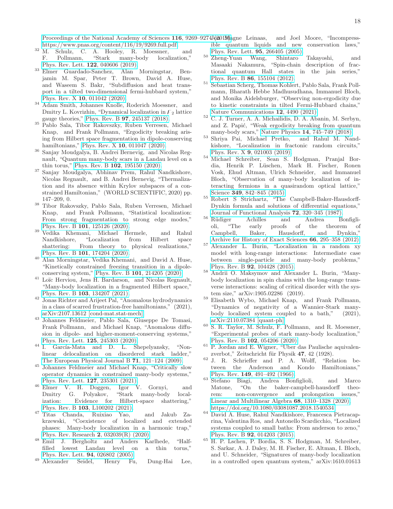[Proceedings of the National Academy of Sciences](http://dx.doi.org/10.1073/pnas.1819316116)  $116$ ,  $9269-9274J$  $(2019)$  agne Leinaas, [https://www.pnas.org/content/116/19/9269.full.pdf.](http://arxiv.org/abs/https://www.pnas.org/content/116/19/9269.full.pdf) and Joel Moore, "Incompress-

- $\frac{32 \text{ M}}{\text{F}}$ . Schulz, C. A. Hooley, R. Moessner, and F. Pollmann. "Stark many-body localization." F. Pollmann, "Stark many-body localization," [Phys. Rev. Lett.](http://dx.doi.org/10.1103/PhysRevLett.122.040606) 122, 040606 (2019).
- <span id="page-17-0"></span><sup>33</sup> Elmer Guardado-Sanchez, Alan Morningstar, Benjamin M. Spar, Peter T. Brown, David A. Huse, and Waseem S. Bakr, "Subdiffusion and heat transport in a tilted two-dimensional fermi-hubbard system," Phys. Rev. X 10[, 011042 \(2020\).](http://dx.doi.org/10.1103/PhysRevX.10.011042)
- <span id="page-17-1"></span><sup>34</sup> Adam Smith, Johannes Knolle, Roderich Moessner, and Dmitry L. Kovrizhin, "Dynamical localization in  $\mathcal{F}_2$  lattice gauge theories," Phys. Rev. B 97[, 245137 \(2018\).](http://dx.doi.org/10.1103/PhysRevB.97.245137)
- <span id="page-17-2"></span><sup>35</sup> Pablo Sala, Tibor Rakovszky, Ruben Verresen, Michael Knap, and Frank Pollmann, "Ergodicity breaking arising from Hilbert space fragmentation in dipole-conserving hamiltonians," Phys. Rev. X 10[, 011047 \(2020\).](http://dx.doi.org/10.1103/PhysRevX.10.011047)
- <span id="page-17-4"></span> $^{36}$  Sanjay Moudgalya, B. Andrei Bernevig, $\,$  and Nicolas Regnault, "Quantum many-body scars in a Landau level on a thin torus," Phys. Rev. B 102[, 195150 \(2020\).](http://dx.doi.org/ 10.1103/PhysRevB.102.195150)
- <span id="page-17-8"></span><sup>37</sup> Sanjay Moudgalya, Abhinav Prem, Rahul Nandkishore, Nicolas Regnault, and B. Andrei Bernevig, "Thermalization and its absence within Krylov subspaces of a constrained Hamiltonian," (WORLD SCIENTIFIC, 2020) pp. 147–209, 0.
- <span id="page-17-11"></span><sup>38</sup> Tibor Rakovszky, Pablo Sala, Ruben Verresen, Michael Knap, and Frank Pollmann, "Statistical localization: From strong fragmentation to strong edge modes," Phys. Rev. B 101[, 125126 \(2020\).](http://dx.doi.org/ 10.1103/PhysRevB.101.125126)<br>Vedika Khemani. Michael Hermele.
- <sup>39</sup> Vedika Khemani, Michael Hermele, and Rahul Nandkishore, "Localization from Hilbert space Nandkishore, "Localization shattering: From theory to physical realizations," Phys. Rev. B 101[, 174204 \(2020\).](http://dx.doi.org/10.1103/PhysRevB.101.174204)
- <sup>40</sup> Alan Morningstar, Vedika Khemani, and David A. Huse, "Kinetically constrained freezing transition in a dipoleconserving system," Phys. Rev. B 101[, 214205 \(2020\).](http://dx.doi.org/10.1103/PhysRevB.101.214205)
- <span id="page-17-9"></span><sup>41</sup> Loïc Herviou, Jens H. Bardarson, and Nicolas Regnault, "Many-body localization in a fragmented Hilbert space," Phys. Rev. B 103[, 134207 \(2021\).](http://dx.doi.org/ 10.1103/PhysRevB.103.134207)
- <sup>42</sup> Jonas Richter and Arijeet Pal, "Anomalous hydrodynamics in a class of scarred frustration-free hamiltonians," (2021), [arXiv:2107.13612 \[cond-mat.stat-mech\].](http://arxiv.org/abs/2107.13612)
- <sup>43</sup> Johannes Feldmeier, Pablo Sala, Giuseppe De Tomasi, Frank Pollmann, and Michael Knap, "Anomalous diffusion in dipole- and higher-moment-conserving systems," [Phys. Rev. Lett.](http://dx.doi.org/10.1103/PhysRevLett.125.245303) 125, 245303 (2020).
- $44$  I. García-Mata and D. L. Shepelyansky, "Nonlinear delocalization on disordered stark ladder," [The European Physical Journal B](http://dx.doi.org/10.1140/epjb/e2009-00265-5) 71, 121–124 (2009).
- <sup>45</sup> Johannes Feldmeier and Michael Knap, "Critically slow operator dynamics in constrained many-body systems," [Phys. Rev. Lett.](http://dx.doi.org/10.1103/PhysRevLett.127.235301) 127, 235301 (2021).
- <sup>46</sup> Elmer V. H. Doggen, Igor V. Gornyi, and Dmitry G. Polyakov, "Stark many-body localization: Evidence for Hilbert-space shattering," Phys. Rev. B 103[, L100202 \(2021\).](http://dx.doi.org/10.1103/PhysRevB.103.L100202)
- <span id="page-17-3"></span><sup>47</sup> Titas Chanda, Ruixiao Yao, and Jakub Zakrzewski, "Coexistence of localized and extended phases: Many-body localization in a harmonic trap," [Phys. Rev. Research](http://dx.doi.org/10.1103/PhysRevResearch.2.032039) 2, 032039(R) (2020).
- <span id="page-17-5"></span><sup>48</sup> Emil J. Bergholtz and Anders Karlhede, "Halffilled lowest Landau level on a thin torus," [Phys. Rev. Lett.](http://dx.doi.org/ 10.1103/PhysRevLett.94.026802) 94, 026802 (2005).
- <span id="page-17-24"></span><sup>49</sup> Alexander Seidel, Henry Fu, Dung-Hai Lee,
- ible quantum liquids and new conservation laws," [Phys. Rev. Lett.](http://dx.doi.org/ 10.1103/PhysRevLett.95.266405) 95, 266405 (2005).
- <span id="page-17-6"></span><sup>50</sup> Zheng-Yuan Wang, Shintaro Takayoshi, and "Spin-chain description of fractional quantum Hall states in the jain series," Phys. Rev. B 86[, 155104 \(2012\).](http://dx.doi.org/10.1103/PhysRevB.86.155104)
- <span id="page-17-7"></span><sup>51</sup> Sebastian Scherg, Thomas Kohlert, Pablo Sala, Frank Pollmann, Bharath Hebbe Madhusudhana, Immanuel Bloch, and Monika Aidelsburger, "Observing non-ergodicity due to kinetic constraints in tilted Fermi-Hubbard chains," [Nature Communications](http://dx.doi.org/10.1038/s41467-021-24726-0) 12, 4490 (2021).
- <span id="page-17-10"></span><sup>52</sup> C. J. Turner, A. A. Michailidis, D. A. Abanin, M. Serbyn, and Z. Papić, "Weak ergodicity breaking from quantum many-body scars," Nature Physics 14[, 745–749 \(2018\).](http://dx.doi.org/10.1038/s41567-018-0137-5)
- <span id="page-17-12"></span><sup>53</sup> Shriya Pai, Michael Pretko, and Rahul M. Nandkishore, "Localization in fractonic random circuits," Phys. Rev. X 9[, 021003 \(2019\).](http://dx.doi.org/ 10.1103/PhysRevX.9.021003)
- <span id="page-17-13"></span><sup>54</sup> Michael Schreiber, Sean S. Hodgman, Pranjal Bordia, Henrik P. Lüschen, Mark H. Fischer, Ronen Vosk, Ehud Altman, Ulrich Schneider, and Immanuel Bloch, "Observation of many-body localization of interacting fermions in a quasirandom optical lattice," Science 349, 842-845 (2015).
- <span id="page-17-20"></span><sup>55</sup> Robert S Strichartz, "The Campbell-Baker-Hausdorff-Dynkin formula and solutions of differential equations," [Journal of Functional Analysis](http://dx.doi.org/ https://doi.org/10.1016/0022-1236(87)90091-7) 72, 320–345 (1987).
- <span id="page-17-21"></span><sup>56</sup> Rüdiger Achilles and Andrea Bonfigli-<br>oli. "The early proofs of the theorem of oli, "The early proofs of the theorem of Campbell, Baker, Hausdorff, and Dynkin," [Archive for History of Exact Sciences](http://dx.doi.org/10.1007/s00407-012-0095-8) 66, 295–358 (2012).
- <span id="page-17-18"></span> $57$  Alexander L. Burin, "Localization in a random xy model with long-range interactions: Intermediate case between single-particle and many-body problems," Phys. Rev. B 92[, 104428 \(2015\).](http://link.aps.org/doi/10.1103/PhysRevB.92.104428)
- <span id="page-17-14"></span><sup>58</sup> Andrii O. Maksymov and Alexander L. Burin, "Manybody localization in spin chains with the long-range transverse interactions: scaling of critical disorder with the system size," arXiv:1905.02286 (2019).
- <span id="page-17-15"></span><sup>59</sup> Elisabeth Wybo, Michael Knap, and Frank Pollmann, "Dynamics of negativity of a Wannier-Stark manybody localized system coupled to a bath," (2021), [arXiv:2110.07384 \[quant-ph\].](http://arxiv.org/abs/2110.07384)
- <span id="page-17-16"></span><sup>60</sup> S. R. Taylor, M. Schulz, F. Pollmann, and R. Moessner, "Experimental probes of stark many-body localization," Phys. Rev. B 102[, 054206 \(2020\).](http://dx.doi.org/10.1103/PhysRevB.102.054206)
- <span id="page-17-17"></span> $61$  P. Jordan and E. Wigner, "Uber das Paulische aquivalenzverbot," Zeitschricht für Physik 47, 42 (1928).
- <span id="page-17-19"></span><sup>62</sup> J. R. Schrieffer and P. A. Wolff, "Relation between the Anderson and Kondo Hamiltonians," Phys. Rev. 149[, 491–492 \(1966\).](http://dx.doi.org/ 10.1103/PhysRev.149.491)
- <span id="page-17-22"></span><sup>63</sup> Stefano Biagi, Andrea Bonfiglioli, and Marco Matone, "On the baker-campbell-hausdorff theorem: non-convergence and prolongation issues," [Linear and Multilinear Algebra](http://dx.doi.org/10.1080/03081087.2018.1540534) 68, 1310–1328 (2020), [https://doi.org/10.1080/03081087.2018.1540534.](http://arxiv.org/abs/https://doi.org/10.1080/03081087.2018.1540534)
- <span id="page-17-23"></span><sup>64</sup> David A. Huse, Rahul Nandkishore, Francesca Pietracaprina, Valentina Ros, and Antonello Scardicchio, "Localized systems coupled to small baths: From anderson to zeno," Phys. Rev. B 92[, 014203 \(2015\).](http://dx.doi.org/ 10.1103/PhysRevB.92.014203)
- <span id="page-17-25"></span><sup>65</sup> H. P. Lschen, P. Bordia, S. S. Hodgman, M. Schreiber, S. Sarkar, A. J. Daley, M. H. Fischer, E. Altman, I. Bloch, and U. Schneider, "Signatures of many-body localization in a controlled open quantum system," arXiv:1610.01613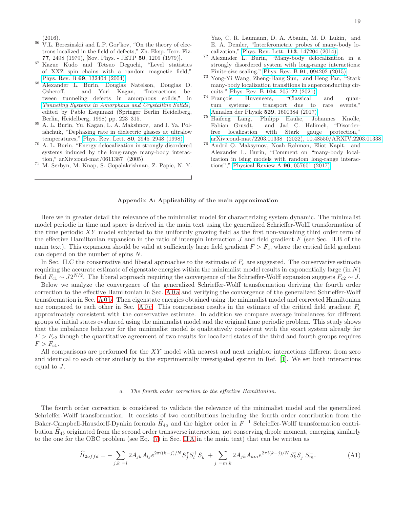(2016).

- <span id="page-18-1"></span><sup>66</sup> V.L. Berezinskii and L.P. Gor'kov, "On the theory of electrons localized in the field of defects," Zh. Eksp. Teor. Fiz. 77, 2498 (1979), [Sov. Phys. - JETP 50, 1209 (1979)].
- <span id="page-18-2"></span><sup>67</sup> Kazue Kudo and Tetsuo Deguchi, "Level statistics of XXZ spin chains with a random magnetic field," Phys. Rev. B 69[, 132404 \(2004\).](http://dx.doi.org/10.1103/PhysRevB.69.132404)
- <span id="page-18-3"></span><sup>68</sup> Alexander L. Burin, Douglas Natelson, Douglas D. Osheroff, and Yuri Kagan, "Interactions between tunneling defects in amorphous solids," in [Tunneling Systems in Amorphous and Crystalline Solids](http://dx.doi.org/ 10.1007/978-3-662-03695-2_5), edited by Pablo Esquinazi (Springer Berlin Heidelberg, Berlin, Heidelberg, 1998) pp. 223–315.
- <sup>69</sup> A. L. Burin, Yu. Kagan, L. A. Maksimov, and I. Ya. Polishchuk, "Dephasing rate in dielectric glasses at ultralow temperatures," Phys. Rev. Lett. 80[, 2945–2948 \(1998\).](http://dx.doi.org/ 10.1103/PhysRevLett.80.2945)
- <sup>70</sup> A. L. Burin, "Energy delocalization in strongly disordered systems induced by the long-range many-body interaction," arXiv:cond-mat/0611387 (2005).
- <sup>71</sup> M. Serbyn, M. Knap, S. Gopalakrishnan, Z. Papic, N. Y.

Yao, C. R. Laumann, D. A. Abanin, M. D. Lukin, and E. A. Demler, "Interferometric probes of many-body localization," [Phys. Rev. Lett.](http://dx.doi.org/10.1103/PhysRevLett.113.147204) 113, 147204 (2014).

- <span id="page-18-4"></span><sup>72</sup> Alexander L. Burin, "Many-body delocalization in a strongly disordered system with long-range interactions: Finite-size scaling," Phys. Rev. B 91[, 094202 \(2015\).](http://dx.doi.org/ 10.1103/PhysRevB.91.094202)
- <span id="page-18-5"></span>Yong-Yi Wang, Zheng-Hang Sun, and Heng Fan, "Stark many-body localization transitions in superconducting circuits," Phys. Rev. B 104[, 205122 \(2021\).](http://dx.doi.org/ 10.1103/PhysRevB.104.205122)
- <span id="page-18-6"></span> $74$  François Huveneers, "Classical and quantum systems: transport due to rare events," [Annalen der Physik](http://dx.doi.org/10.1002/andp.201600384) 529, 1600384 (2017).
- <span id="page-18-7"></span><sup>75</sup> Haifeng Lang, Philipp Hauke, Johannes Knolle, Fabian Grusdt, and Jad C. Halimeh, "Disorderfree localization with Stark gauge protection," [arXiv:cond-mat/2203.01338 \(2022\), 10.48550/ARXIV.2203.01338.](http://dx.doi.org/10.48550/ARXIV.2203.01338)
- <span id="page-18-9"></span><sup>76</sup> Andrii O. Maksymov, Noah Rahman, Eliot Kapit, and Alexander L. Burin, "Comment on "many-body localization in ising models with random long-range interactions"," [Physical Review A](http://dx.doi.org/10.1103/physreva.96.057601) 96, 057601 (2017).

## <span id="page-18-0"></span>Appendix A: Applicability of the main approximation

Here we in greater detail the relevance of the minimalist model for characterizing system dynamic. The minimalist model periodic in time and space is derived in the main text using the generalized Schrieffer-Wolff transformation of the time periodic  $XY$  model subjected to the uniformly growing field as the first non-vanishing third order term of the effective Hamiltonian expansion in the ratio of interspin interaction  $J$  and field gradient  $F$  (see Sec. II.B of the main text). This expansion should be valid at sufficiently large field gradient  $F > F_c$ , where the critical field gradient can depend on the number of spins N.

In Sec. II.C the conservative and liberal approaches to the estimate of  $F_c$  are suggested. The conservative estimate requiring the accurate estimate of eigenstate energies within the minimalist model results in exponentially large  $(in N)$ field  $F_{c1} \sim J2^{N/2}$ . The liberal approach requiring the convergence of the Schrieffer-Wolff expansion suggests  $F_{c2} \sim J$ .

Below we analyze the convergence of the generalized Schrieffer-Wolff transformation deriving the fourth order correction to the effective Hamiltonian in Sec. [A 0 a](#page-18-8) and verifying the convergence of the generalized Schrieffer-Wolff transformation in Sec. [A 0 b.](#page-19-0) Then eigenstate energies obtained using the minimalist model and corrected Hamiltonian are compared to each other in Sec. [A 0 c.](#page-20-0) This comparison results in the estimate of the critical field gradient  $F_c$ approximately consistent with the conservative estimate. In addition we compare average imbalances for different groups of initial states evaluated using the minimalist model and the original time periodic problem. This study shows that the imbalance behavior for the minimalist model is qualitatively consistent with the exact system already for  $F > F_{c2}$  though the quantitative agreement of two results for localized states of the third and fourth groups requires  $F > F_{c1}$ .

All comparisons are performed for the XY model with nearest and next neighbor interactions different from zero and identical to each other similarly to the experimentally investigated system in Ref. [\[1](#page-16-0)]. We set both interactions equal to J.

#### <span id="page-18-8"></span>The fourth order correction to the effective Hamiltonian.

The fourth order correction is considered to validate the relevance of the minimalist model and the generalized Schrieffer-Wolff transformation. It consists of two contributions including the fourth order contribution from the Baker-Campbell-Hausdorff-Dynkin formula  $\hat{H}_{4a}$  and the higher order in  $F^{-1}$  Schrieffer-Wolff transformation contribution  $\hat{H}_{4b}$  originated from the second order transverse interaction, not conserving dipole moment, emerging similarly to the one for the OBC problem (see Eq. [\(7\)](#page-2-6) in Sec. [II A](#page-1-3) in the main text) that can be written as

$$
\widehat{H}_{2offd} = -\sum_{j,k=1} 2A_{jk}A_{lj}e^{2\pi i(k-j)/N}S_j^z S_l^+ S_k^- + \sum_{j=m,k} 2A_{jk}A_{km}e^{2\pi i(k-j)/N}S_k^z S_j^+ S_m^-.
$$
\n(A1)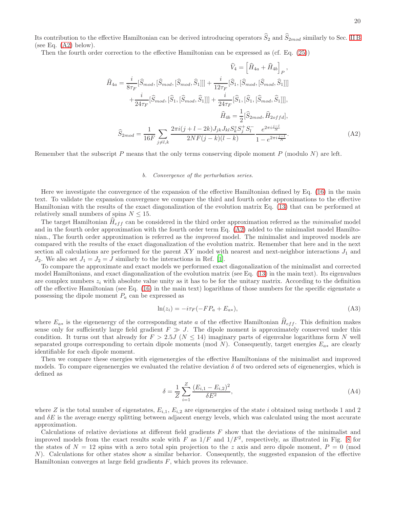Its contribution to the effective Hamiltonian can be derived introducing operators  $\hat{S}_2$  and  $\hat{S}_{2mod}$  similarly to Sec. [II B](#page-2-1) (see Eq.  $(A2)$  below).

Then the fourth order correction to the effective Hamiltonian can be expressed as (cf. Eq. [\(25\)](#page-4-3))

<span id="page-19-1"></span>
$$
\widehat{H}_{4a} = \frac{i}{8\tau_F} [\widehat{S}_{mod}, [\widehat{S}_{mod}, \widehat{S}_1]]] + \frac{i}{12\tau_F} [\widehat{S}_1, [\widehat{S}_{mod}, [\widehat{S}_{mod}, \widehat{S}_1]]]
$$

$$
+ \frac{i}{24\tau_F} [\widehat{S}_{mod}, [\widehat{S}_1, [\widehat{S}_{mod}, \widehat{S}_1]]] + \frac{i}{24\tau_F} [\widehat{S}_1, [\widehat{S}_1, [\widehat{S}_{mod}, \widehat{S}_1]]],
$$

$$
\widehat{H}_{4b} = \frac{1}{2} [\widehat{S}_{2mod}, \widehat{H}_{2offd}],
$$

$$
\widehat{S}_{2mod} = \frac{1}{16F} \sum_{j \neq l,k} \frac{2\pi i (j + l - 2k) J_{jk} J_{kl} S_k^z S_j^+ S_l^-}{2N F (j - k)(l - k)} \frac{e^{2\pi i \frac{j - l}{N}}}{1 - e^{2\pi i \frac{j - l}{N}}}.
$$
(A2)

Remember that the subscript P means that the only terms conserving dipole moment P (modulo N) are left.

#### <span id="page-19-0"></span>b. Convergence of the perturbation series.

Here we investigate the convergence of the expansion of the effective Hamiltonian defined by Eq. [\(16\)](#page-3-5) in the main text. To validate the expansion convergence we compare the third and fourth order approximations to the effective Hamiltonian with the results of the exact diagonalization of the evolution matrix Eq. [\(13\)](#page-3-4) that can be performed at relatively small numbers of spins  $N \leq 15$ .

The target Hamiltonian  $\hat{H}_{eff}$  can be considered in the third order approximation referred as the *minimalist* model and in the fourth order approximation with the fourth order term Eq. [\(A2\)](#page-19-1) added to the minimalist model Hamiltonian., The fourth order approximation is referred as the improved model. The minimalist and improved models are compared with the results of the exact diagonalization of the evolution matrix. Remember that here and in the next section all calculations are performed for the parent XY model with nearest and next-neighbor interactions  $J_1$  and  $J_2$ . We also set  $J_1 = J_2 = J$  similarly to the interactions in Ref. [\[1\]](#page-16-0).

To compare the approximate and exact models we performed exact diagonalization of the minimalist and corrected model Hamiltonians, and exact diagonalization of the evolution matrix (see Eq. [\(13\)](#page-3-4) in the main text). Its eigenvalues are complex numbers  $z_i$  with absolute value unity as it has to be for the unitary matrix. According to the definition off the effective Hamiltonian (see Eq.  $(16)$  in the main text) logarithms of those numbers for the specific eigenstate a possessing the dipole moment  $P_a$  can be expressed as

$$
\ln(z_i) = -i\tau_F(-FP_a + E_{a*}),\tag{A3}
$$

where  $E_{a*}$  is the eigenenergy of the corresponding state a of the effective Hamiltonian  $\hat{H}_{eff}$ . This definition makes sense only for sufficiently large field gradient  $F \gg J$ . The dipole moment is approximately conserved under this condition. It turns out that already for  $F > 2.5J$  ( $N \le 14$ ) imaginary parts of eigenvalue logarithms form N well separated groups corresponding to certain dipole moments (mod N). Consequently, target energies  $E_{a*}$  are clearly identifiable for each dipole moment.

Then we compare these energies with eigenenergies of the effective Hamiltonians of the minimalist and improved models. To compare eigenenergies we evaluated the relative deviation  $\delta$  of two ordered sets of eigenenergies, which is defined as

<span id="page-19-2"></span>
$$
\delta = \frac{1}{Z} \sum_{i=1}^{Z} \frac{(E_{i,1} - E_{i,2})^2}{\delta E^2},\tag{A4}
$$

where Z is the total number of eigenstates,  $E_{i,1}$ ,  $E_{i,2}$  are eigenenergies of the state i obtained using methods 1 and 2 and  $\delta E$  is the average energy splitting between adjacent energy levels, which was calculated using the most accurate approximation.

Calculations of relative deviations at different field gradients F show that the deviations of the minimalist and improved models from the exact results scale with F as  $1/F$  and  $1/F<sup>2</sup>$ , respectively, as illustrated in Fig. [8](#page-20-1) for the states of  $N = 12$  spins with a zero total spin projection to the z axis and zero dipole moment,  $P = 0$  (mod  $N$ ). Calculations for other states show a similar behavior. Consequently, the suggested expansion of the effective Hamiltonian converges at large field gradients F, which proves its relevance.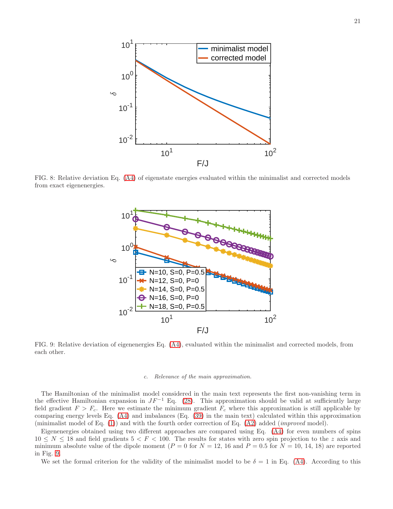<span id="page-20-1"></span>

<span id="page-20-2"></span>FIG. 8: Relative deviation Eq. [\(A4\)](#page-19-2) of eigenstate energies evaluated within the minimalist and corrected models from exact eigenenergies.



FIG. 9: Relative deviation of eigenenergies Eq. [\(A4\)](#page-19-2), evaluated within the minimalist and corrected models, from each other.

#### <span id="page-20-0"></span>c. Relevance of the main approximation.

The Hamiltonian of the minimalist model considered in the main text represents the first non-vanishing term in the effective Hamiltonian expansion in  $JF^{-1}$  Eq. [\(28\)](#page-5-0). This approximation should be valid at sufficiently large field gradient  $F > F_c$ . Here we estimate the minimum gradient  $F_c$  where this approximation is still applicable by comparing energy levels Eq. [\(A4\)](#page-19-2) and imbalances (Eq. [\(39\)](#page-10-0) in the main text) calculated within this approximation (minimalist model of Eq. [\(1\)](#page-0-0)) and with the fourth order correction of Eq. [\(A2\)](#page-19-1) added (improved model).

Eigenenergies obtained using two different approaches are compared using Eq. [\(A4\)](#page-19-2) for even numbers of spins  $10 \leq N \leq 18$  and field gradients  $5 \leq F \leq 100$ . The results for states with zero spin projection to the z axis and minimum absolute value of the dipole moment ( $P = 0$  for  $N = 12$ , 16 and  $P = 0.5$  for  $N = 10, 14, 18$ ) are reported in Fig. [9.](#page-20-2)

We set the formal criterion for the validity of the minimalist model to be  $\delta = 1$  in Eq. [\(A4\)](#page-19-2). According to this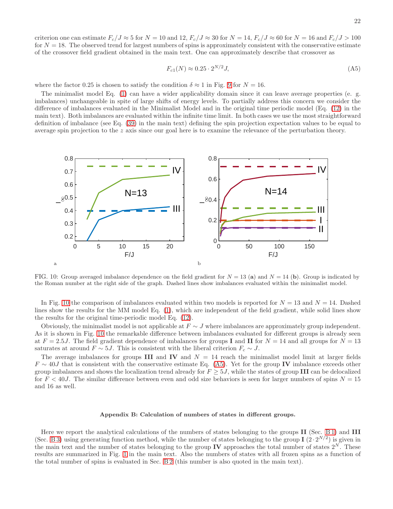criterion one can estimate  $F_c/J \approx 5$  for  $N = 10$  and  $12$ ,  $F_c/J \approx 30$  for  $N = 14$ ,  $F_c/J \approx 60$  for  $N = 16$  and  $F_c/J > 100$ for  $N = 18$ . The observed trend for largest numbers of spins is approximately consistent with the conservative estimate of the crossover field gradient obtained in the main text. One can approximately describe that crossover as

<span id="page-21-2"></span>
$$
F_{c1}(N) \approx 0.25 \cdot 2^{N/2} J,\tag{A5}
$$

where the factor 0.25 is chosen to satisfy the condition  $\delta \approx 1$  in Fig. [9](#page-20-2) for  $N = 16$ .

The minimalist model Eq. [\(1\)](#page-0-0) can have a wider applicability domain since it can leave average properties (e. g. imbalances) unchangeable in spite of large shifts of energy levels. To partially address this concern we consider the difference of imbalances evaluated in the Minimalist Model and in the original time periodic model (Eq. [\(12\)](#page-3-0) in the main text). Both imbalances are evaluated within the infinite time limit. In both cases we use the most straightforward definition of imbalance (see Eq. [\(39\)](#page-10-0) in the main text) defining the spin projection expectation values to be equal to average spin projection to the  $z$  axis since our goal here is to examine the relevance of the perturbation theory.

<span id="page-21-1"></span>

FIG. 10: Group averaged imbalance dependence on the field gradient for  $N = 13$  (a) and  $N = 14$  (b). Group is indicated by the Roman number at the right side of the graph. Dashed lines show imbalances evaluated within the minimalist model.

In Fig. [10](#page-21-1) the comparison of imbalances evaluated within two models is reported for  $N = 13$  and  $N = 14$ . Dashed lines show the results for the MM model Eq. [\(1\)](#page-0-0), which are independent of the field gradient, while solid lines show the results for the original time-periodic model Eq. [\(12\)](#page-3-0).

Obviously, the minimalist model is not applicable at  $F \sim J$  where imbalances are approximately group independent. As it is shown in Fig. [10](#page-21-1) the remarkable difference between imbalances evaluated for different groups is already seen at  $F = 2.5J$ . The field gradient dependence of imbalances for groups I and II for  $N = 14$  and all groups for  $N = 13$ saturates at around  $F \sim 5J$ . This is consistent with the liberal criterion  $F_c \sim J$ .

The average imbalances for groups III and IV and  $N = 14$  reach the minimalist model limit at larger fields  $F \sim 40J$  that is consistent with the conservative estimate Eq. [\(A5\)](#page-21-2). Yet for the group IV imbalance exceeds other group imbalances and shows the localization trend already for  $F \geq 5J$ , while the states of group III can be delocalized for  $F < 40J$ . The similar difference between even and odd size behaviors is seen for larger numbers of spins  $N = 15$ and 16 as well.

#### <span id="page-21-0"></span>Appendix B: Calculation of numbers of states in different groups.

Here we report the analytical calculations of the numbers of states belonging to the groups II (Sec. [B 1\)](#page-22-0) and III (Sec. [B 3\)](#page-25-0) using generating function method, while the number of states belonging to the group I (2 ·  $2^{N/2}$ ) is given in the main text and the number of states belonging to the group IV approaches the total number of states  $2^N$ . These results are summarized in Fig. [1](#page-7-0) in the main text. Also the numbers of states with all frozen spins as a function of the total number of spins is evaluated in Sec. [B 2](#page-24-0) (this number is also quoted in the main text).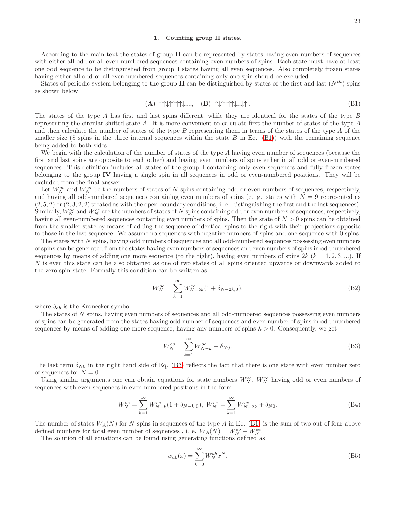#### <span id="page-22-0"></span>1. Counting group II states.

According to the main text the states of group II can be represented by states having even numbers of sequences with either all odd or all even-numbered sequences containing even numbers of spins. Each state must have at least one odd sequence to be distinguished from group I states having all even sequences. Also completely frozen states having either all odd or all even-numbered sequences containing only one spin should be excluded.

States of periodic system belonging to the group II can be distinguished by states of the first and last  $(N^{th})$  spins as shown below

<span id="page-22-1"></span>
$$
(A) \uparrow \uparrow \downarrow \uparrow \uparrow \uparrow \downarrow \downarrow \downarrow, \quad (B) \uparrow \downarrow \uparrow \uparrow \uparrow \uparrow \downarrow \downarrow \downarrow \uparrow.
$$

The states of the type A has first and last spins different, while they are identical for the states of the type B representing the circular shifted state A. It is more convenient to calculate first the number of states of the type A and then calculate the number of states of the type B representing them in terms of the states of the type A of the smaller size (8 spins in the three internal sequences within the state  $B$  in Eq. [\(B1\)](#page-22-1)) with the remaining sequence being added to both sides.

We begin with the calculation of the number of states of the type A having even number of sequences (because the first and last spins are opposite to each other) and having even numbers of spins either in all odd or even-numbered sequences. This definition includes all states of the group I containing only even sequences and fully frozen states belonging to the group IV having a single spin in all sequences in odd or even-numbered positions. They will be excluded from the final answer.

Let  $W_N^{oo}$  and  $W_N^{eo}$  be the numbers of states of N spins containing odd or even numbers of sequences, respectively, and having all odd-numbered sequences containing even numbers of spins (e. g. states with  $N = 9$  represented as  $(2, 5, 2)$  or  $(2, 3, 2, 2)$  treated as with the open boundary conditions, i. e. distinguishing the first and the last sequences). Similarly,  $W_N^{oe}$  and  $W_N^{ee}$  are the numbers of states of N spins containing odd or even numbers of sequences, respectively, having all even-numbered sequences containing even numbers of spins. Then the state of  $N > 0$  spins can be obtained from the smaller state by means of adding the sequence of identical spins to the right with their projections opposite to those in the last sequence. We assume no sequences with negative numbers of spins and one sequence with 0 spins.

The states with N spins, having odd numbers of sequences and all odd-numbered sequences possessing even numbers of spins can be generated from the states having even numbers of sequences and even numbers of spins in odd-numbered sequences by means of adding one more sequence (to the right), having even numbers of spins  $2k$  ( $k = 1, 2, 3, ...$ ). If N is even this state can be also obtained as one of two states of all spins oriented upwards or downwards added to the zero spin state. Formally this condition can be written as

<span id="page-22-3"></span>
$$
W_N^{oo} = \sum_{k=1}^{\infty} W_{N-2k}^{eo} (1 + \delta_{N-2k,0}),
$$
 (B2)

where  $\delta_{ab}$  is the Kronecker symbol.

The states of N spins, having even numbers of sequences and all odd-numbered sequences possessing even numbers of spins can be generated from the states having odd number of sequences and even number of spins in odd-numbered sequences by means of adding one more sequence, having any numbers of spins  $k > 0$ . Consequently, we get

<span id="page-22-2"></span>
$$
W_N^{eo} = \sum_{k=1}^{\infty} W_{N-k}^{oo} + \delta_{N0}.
$$
 (B3)

The last term  $\delta_{N0}$  in the right hand side of Eq. [\(B3\)](#page-22-2) reflects the fact that there is one state with even number zero of sequences for  $N = 0$ .

Using similar arguments one can obtain equations for state numbers  $W_N^{oe}$ ,  $W_N^{ee}$  having odd or even numbers of sequences with even sequences in even-numbered positions in the form

<span id="page-22-4"></span>
$$
W_N^{oe} = \sum_{k=1}^{\infty} W_{N-k}^{ee} (1 + \delta_{N-k,0}), \ W_N^{ee} = \sum_{k=1}^{\infty} W_{N-2k}^{oe} + \delta_{N0}.
$$
 (B4)

The number of states  $W_A(N)$  for N spins in sequences of the type A in Eq. [\(B1\)](#page-22-1) is the sum of two out of four above defined numbers for total even number of sequences, i. e.  $W_A(N) = W_N^{eo} + W_N^{ee}$ .

The solution of all equations can be found using generating functions defined as

<span id="page-22-5"></span>
$$
w_{ab}(x) = \sum_{k=0}^{\infty} W_N^{ab} x^N.
$$
 (B5)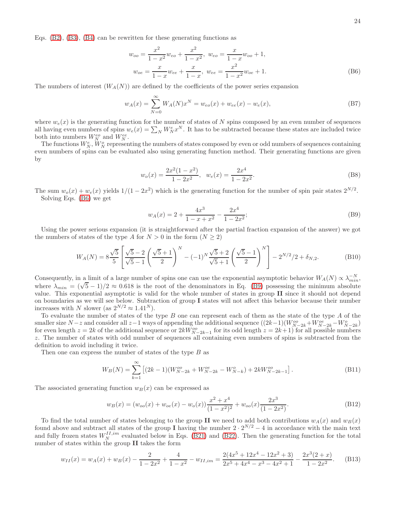Eqs. [\(B2\)](#page-22-3), [\(B3\)](#page-22-2), [\(B4\)](#page-22-4) can be rewritten for these generating functions as

<span id="page-23-0"></span>
$$
w_{oo} = \frac{x^2}{1 - x^2} w_{eo} + \frac{x^2}{1 - x^2}, \ w_{eo} = \frac{x}{1 - x} w_{oo} + 1,
$$
  

$$
w_{oe} = \frac{x}{1 - x} w_{ee} + \frac{x}{1 - x}, \ w_{ee} = \frac{x^2}{1 - x^2} w_{oe} + 1.
$$
 (B6)

The numbers of interest  $(W_A(N))$  are defined by the coefficients of the power series expansion

$$
w_A(x) = \sum_{N=0}^{\infty} W_A(N)x^N = w_{eo}(x) + w_{ee}(x) - w_e(x),
$$
 (B7)

where  $w_e(x)$  is the generating function for the number of states of N spins composed by an even number of sequences all having even numbers of spins  $w_e(x) = \sum_N W_N^e x^N$ . It has to be subtracted because these states are included twice both into numbers  $W_N^{eo}$  and  $W_N^{ee}$ .

The functions  $W_N^e$ ,  $W_N^o$  representing the numbers of states composed by even or odd numbers of sequences containing even numbers of spins can be evaluated also using generating function method. Their generating functions are given by

$$
w_o(x) = \frac{2x^2(1-x^2)}{1-2x^2}, \quad w_e(x) = \frac{2x^4}{1-2x^2}.
$$
 (B8)

The sum  $w_o(x) + w_e(x)$  yields  $1/(1-2x^2)$  which is the generating function for the number of spin pair states  $2^{N/2}$ . Solving Eqs. [\(B6\)](#page-23-0) we get

<span id="page-23-1"></span>
$$
w_A(x) = 2 + \frac{4x^3}{1 - x + x^2} - \frac{2x^4}{1 - 2x^2};
$$
 (B9)

Using the power serious expansion (it is straightforward after the partial fraction expansion of the answer) we got the numbers of states of the type A for  $N > 0$  in the form  $(N \geq 2)$ 

$$
W_A(N) = 8\frac{\sqrt{5}}{5} \left[ \frac{\sqrt{5}-2}{\sqrt{5}-1} \left( \frac{\sqrt{5}+1}{2} \right)^N - (-1)^N \frac{\sqrt{5}+2}{\sqrt{5}+1} \left( \frac{\sqrt{5}-1}{2} \right)^N \right] - 2^{N/2}/2 + \delta_{N,2}.
$$
 (B10)

Consequently, in a limit of a large number of spins one can use the exponential asymptotic behavior  $W_A(N) \propto \lambda_{min}^{-N}$ , where  $\lambda_{min} = (\sqrt{5}-1)/2 \approx 0.618$  is the root of the denominators in Eq. [\(B9\)](#page-23-1) possessing the minimum absolute value. This exponential asymptotic is valid for the whole number of states in group II since it should not depend on boundaries as we will see below. Subtraction of group I states will not affect this behavior because their number increases with N slower (as  $2^{N/2} \approx 1.41^N$ ).

To evaluate the number of states of the type B one can represent each of them as the state of the type A of the smaller size  $N-z$  and consider all  $z-1$  ways of appending the additional sequence  $((2k-1)(W^{oo}_{N-2k}+W^{oe}_{N-2k}-W^{o}_{N-2k})$ for even length  $z = 2k$  of the additional sequence or  $2kW_{N-2k-1}^{oo}$  for its odd length  $z = 2k+1$ ) for all possible numbers z. The number of states with odd number of sequences all containing even numbers of spins is subtracted from the definition to avoid including it twice.

Then one can express the number of states of the type  $B$  as

$$
W_B(N) = \sum_{k=1}^{\infty} \left[ (2k-1)(W_{N-2k}^{oo} + W_{N-2k}^{oe} - W_{N-k}^{o}) + 2kW_{N-2k-1}^{oo} \right].
$$
 (B11)

The associated generating function  $w_B(x)$  can be expressed as

$$
w_B(x) = (w_{oo}(x) + w_{oe}(x) - w_o(x))\frac{x^2 + x^4}{(1 - x^2)^2} + w_{oo}(x)\frac{2x^3}{(1 - 2x^2)}.
$$
\n(B12)

To find the total number of states belonging to the group II we need to add both contributions  $w_A(x)$  and  $w_B(x)$ found above and subtract all states of the group I having the number  $2 \cdot 2^{N/2} - 4$  in accordance with the main text and fully frozen states  $W_N^{II,im}$  evaluated below in Eqs. [\(B21\)](#page-25-1) and [\(B22\)](#page-25-2). Then the generating function for the total number of states within the group II takes the form

<span id="page-23-2"></span>
$$
w_{II}(x) = w_A(x) + w_B(x) - \frac{2}{1 - 2x^2} + \frac{4}{1 - x^2} - w_{II,im} = \frac{2(4x^5 + 12x^4 - 12x^2 + 3)}{2x^5 + 4x^4 - x^3 - 4x^2 + 1} - \frac{2x^3(2 + x)}{1 - 2x^2}.
$$
 (B13)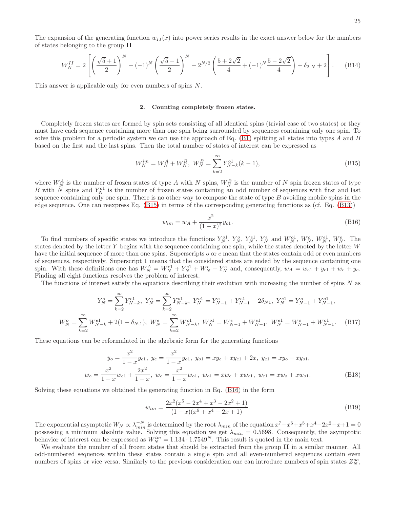The expansion of the generating function  $w_{II}(x)$  into power series results in the exact answer below for the numbers of states belonging to the group II

$$
W_N^{II} = 2\left[ \left( \frac{\sqrt{5}+1}{2} \right)^N + (-1)^N \left( \frac{\sqrt{5}-1}{2} \right)^N - 2^{N/2} \left( \frac{5+2\sqrt{2}}{4} + (-1)^N \frac{5-2\sqrt{2}}{4} \right) + \delta_{2,N} + 2 \right].
$$
 (B14)

This answer is applicable only for even numbers of spins N.

#### <span id="page-24-0"></span>2. Counting completely frozen states.

Completely frozen states are formed by spin sets consisting of all identical spins (trivial case of two states) or they must have each sequence containing more than one spin being surrounded by sequences containing only one spin. To solve this problem for a periodic system we can use the approach of Eq.  $(B1)$  splitting all states into types A and B based on the first and the last spins. Then the total number of states of interest can be expressed as

<span id="page-24-1"></span>
$$
W_N^{im} = W_N^A + W_N^B, \ W_N^B = \sum_{k=2}^{\infty} Y_{N-k}^{o1}(k-1), \tag{B15}
$$

where  $W_N^A$  is the number of frozen states of type A with N spins,  $W_N^B$  is the number of N spin frozen states of type B with N spins and  $Y_N^{01}$  is the number of frozen states containing an odd number of sequences with first and last sequence containing only one spin. There is no other way to compose the state of type  $B$  avoiding mobile spins in the edge sequence. One can reexpress Eq. [\(B15\)](#page-24-1) in terms of the corresponding generating functions as (cf. Eq. [\(B13\)](#page-23-2))

<span id="page-24-2"></span>
$$
w_{im} = w_A + \frac{x^2}{(1-x)^2} y_{o1}.
$$
\n(B16)

To find numbers of specific states we introduce the functions  $Y_N^{01}$ ,  $Y_N^{0}$ ,  $Y_N^{e1}$ ,  $Y_N^{e}$  and  $W_N^{01}$ ,  $W_N^{0}$ ,  $W_N^{e1}$ ,  $W_N^{e}$ . The states denoted by the letter Y begins with the sequence containing one spin, while the states denoted by the letter W have the initial sequence of more than one spins. Superscripts  $\rho$  or  $e$  mean that the states contain odd or even numbers of sequences, respectively. Superscript 1 means that the considered states are ended by the sequence containing one spin. With these definitions one has  $W_N^A = W_N^{e1} + Y_N^{e1} + W_N^e + Y_N^e$  and, consequently,  $w_A = w_{e1} + y_{e1} + w_e + y_e$ . Finding all eight functions resolves the problem of interest.

The functions of interest satisfy the equations describing their evolution with increasing the number of spins  $N$  as

$$
Y_N^o = \sum_{k=2}^{\infty} Y_{N-k}^{e1}, \ Y_N^e = \sum_{k=2}^{\infty} Y_{N-k}^{o1}, \ Y_N^{o1} = Y_{N-1}^e + Y_{N-1}^{e1} + 2\delta_{N1}, \ Y_N^{e1} = Y_{N-1}^o + Y_{N-1}^{o1},
$$
  

$$
W_N^o = \sum_{k=2}^{\infty} W_{N-k}^{e1} + 2(1 - \delta_{N,1}), \ W_N^e = \sum_{k=2}^{\infty} W_{N-k}^{o1}, \ W_N^{o1} = W_{N-1}^e + W_{N-1}^{e1}, \ W_N^{e1} = W_{N-1}^o + W_{N-1}^{o1}.
$$
 (B17)

These equations can be reformulated in the algebraic form for the generating functions

$$
y_o = \frac{x^2}{1 - x} y_{e1}, \ y_e = \frac{x^2}{1 - x} y_{o1}, \ y_{o1} = xy_e + xy_{e1} + 2x, \ y_{e1} = xy_o + xy_{o1},
$$
  

$$
w_o = \frac{x^2}{1 - x} w_{e1} + \frac{2x^2}{1 - x}, \ w_e = \frac{x^2}{1 - x} w_{o1}, \ w_{o1} = x w_e + x w_{e1}, \ w_{e1} = x w_o + x w_{o1}.
$$
 (B18)

Solving these equations we obtained the generating function in Eq. [\(B16\)](#page-24-2) in the form

$$
w_{im} = \frac{2x^2(x^5 - 2x^4 + x^3 - 2x^2 + 1)}{(1 - x)(x^6 + x^4 - 2x + 1)}.
$$
\n(B19)

The exponential asymptotic  $W_N \propto \lambda_{min}^{-N}$  is determined by the root  $\lambda_{min}$  of the equation  $x^7 + x^6 + x^5 + x^4 - 2x^2 - x + 1 = 0$ possessing a minimum absolute value. Solving this equation we get  $\lambda_{min} = 0.5698$ . Consequently, the asymptotic behavior of interest can be expressed as  $W_N^{im} = 1.134 \cdot 1.7549^N$ . This result is quoted in the main text.

We evaluate the number of all frozen states that should be extracted from the group II in a similar manner. All odd-numbered sequences within these states contain a single spin and all even-numbered sequences contain even numbers of spins or vice versa. Similarly to the previous consideration one can introduce numbers of spin states  $Z_N^{oo}$ ,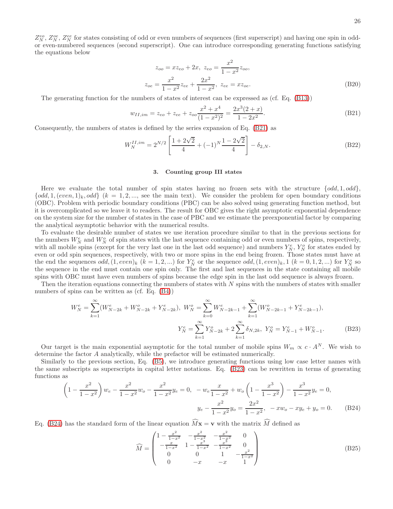$Z_N^{eo}$ ,  $Z_N^{oe}$ ,  $Z_N^{ee}$  for states consisting of odd or even numbers of sequences (first superscript) and having one spin in oddor even-numbered sequences (second superscript). One can introduce corresponding generating functions satisfying the equations below

$$
z_{oo} = xz_{eo} + 2x, \ z_{eo} = \frac{x^2}{1 - x^2} z_{oo},
$$

$$
z_{oe} = \frac{x^2}{1 - x^2} z_{ee} + \frac{2x^2}{1 - x^2}, \ z_{ee} = xz_{oe}.
$$
(B20)

The generating function for the numbers of states of interest can be expressed as (cf. Eq. [\(B13\)](#page-23-2))

<span id="page-25-1"></span>
$$
w_{II,im} = z_{eo} + z_{ee} + z_{oo} \frac{x^2 + x^4}{(1 - x^2)^2} = \frac{2x^3(2 + x)}{1 - 2x^2}.
$$
 (B21)

Consequently, the numbers of states is defined by the series expansion of Eq. [\(B21\)](#page-25-1) as

<span id="page-25-2"></span>
$$
W_N^{II,im} = 2^{N/2} \left[ \frac{1 + 2\sqrt{2}}{4} + (-1)^N \frac{1 - 2\sqrt{2}}{4} \right] - \delta_{2,N}.
$$
 (B22)

### <span id="page-25-0"></span>3. Counting group III states

Here we evaluate the total number of spin states having no frozen sets with the structure  $\{odd, 1, odd\}$ ,  $\{odd, 1, (even, 1)_k, odd\}$   $(k = 1, 2, ...,$  see the main text). We consider the problem for open boundary conditions (OBC). Problem with periodic boundary conditions (PBC) can be also solved using generating function method, but it is overcomplicated so we leave it to readers. The result for OBC gives the right asymptotic exponential dependence on the system size for the number of states in the case of PBC and we estimate the preexponential factor by comparing the analytical asymptotic behavior with the numerical results.

To evaluate the desirable number of states we use iteration procedure similar to that in the previous sections for the numbers  $W_N^e$  and  $W_N^o$  of spin states with the last sequence containing odd or even numbers of spins, respectively, with all mobile spins (except for the very last one in the last odd sequence) and numbers  $Y_N^e$ ,  $Y_N^o$  for states ended by even or odd spin sequences, respectively, with two or more spins in the end being frozen. Those states must have at the end the sequences  $odd, (1, even)_k$   $(k = 1, 2, ...)$  for  $Y_N^e$  or the sequence  $odd, (1, even)_k, 1$   $(k = 0, 1, 2, ...)$  for  $Y_N^o$  so the sequence in the end must contain one spin only. The first and last sequences in the state containing all mobile spins with OBC must have even numbers of spins because the edge spin in the last odd sequence is always frozen.

Then the iteration equations connecting the numbers of states with  $N$  spins with the numbers of states with smaller numbers of spins can be written as (cf. Eq. [\(B4\)](#page-22-4))

<span id="page-25-3"></span>
$$
W_N^e = \sum_{k=1}^{\infty} (W_{N-2k}^e + W_{N-2k}^o + Y_{N-2k}^e), \ W_N^o = \sum_{k=0}^{\infty} W_{N-2k-1}^e + \sum_{k=1}^{\infty} (W_{N-2k-1}^o + Y_{N-2k-1}^e),
$$
  

$$
Y_N^e = \sum_{k=1}^{\infty} Y_{N-2k}^o + 2 \sum_{k=1}^{\infty} \delta_{N,2k}, \ Y_N^o = Y_{N-1}^e + W_{N-1}^o.
$$
 (B23)

Our target is the main exponential asymptotic for the total number of mobile spins  $W_m \propto c \cdot A^N$ . We wish to determine the factor A analytically, while the prefactor will be estimated numerically.

Similarly to the previous section, Eq. [\(B5\)](#page-22-5), we introduce generating functions using low case letter names with the same subscripts as superscripts in capital letter notations. Eq. [\(B23\)](#page-25-3) can be rewritten in terms of generating functions as

<span id="page-25-4"></span>
$$
\left(1 - \frac{x^2}{1 - x^2}\right)w_e - \frac{x^2}{1 - x^2}w_o - \frac{x^2}{1 - x^2}y_e = 0, \quad -w_e \frac{x}{1 - x^2} + w_o \left(1 - \frac{x^3}{1 - x^2}\right) - \frac{x^3}{1 - x^2}y_e = 0,
$$
  

$$
y_e - \frac{x^2}{1 - x^2}y_o = \frac{2x^2}{1 - x^2}, \quad -xw_o - xy_e + y_o = 0.
$$
 (B24)

Eq. [\(B24\)](#page-25-4) has the standard form of the linear equation  $\widehat{M}\mathbf{x} = \mathbf{v}$  with the matrix  $\widehat{M}$  defined as

$$
\widehat{M} = \begin{pmatrix}\n1 - \frac{x^2}{1 - x^2} & -\frac{x^2}{1 - x^2} & -\frac{x^2}{1 - x^2} & 0 \\
-\frac{x}{1 - x^2} & 1 - \frac{x^2}{1 - x^2} & -\frac{x^2}{1 - x^2} & 0 \\
0 & 0 & 1 & -\frac{x^2}{1 - x^2} \\
0 & -x & -x & 1\n\end{pmatrix}
$$
\n(B25)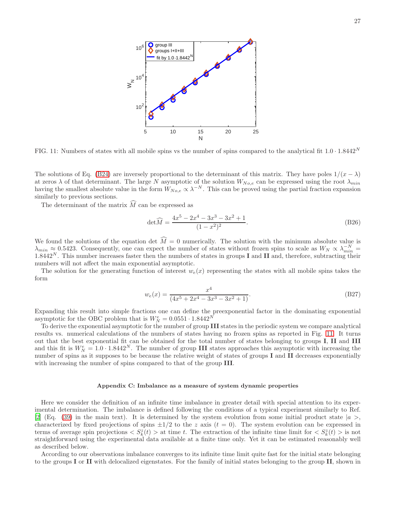<span id="page-26-1"></span>

FIG. 11: Numbers of states with all mobile spins vs the number of spins compared to the analytical fit  $1.0 \cdot 1.8442^N$ 

The solutions of Eq. [\(B24\)](#page-25-4) are inversely proportional to the determinant of this matrix. They have poles  $1/(x - \lambda)$ at zeros  $\lambda$  of that determinant. The large N asymptotic of the solution  $W_{No,e}$  can be expressed using the root  $\lambda_{min}$ having the smallest absolute value in the form  $W_{No,e} \propto \lambda^{-N}$ . This can be proved using the partial fraction expansion similarly to previous sections.

The determinant of the matrix  $\widehat{M}$  can be expressed as

$$
\det \widehat{M} = \frac{4x^5 - 2x^4 - 3x^3 - 3x^2 + 1}{(1 - x^2)^2}.
$$
 (B26)

We found the solutions of the equation det  $M=0$  numerically. The solution with the minimum absolute value is  $\lambda_{min} \approx 0.5423$ . Consequently, one can expect the number of states without frozen spins to scale as  $W_N \propto \lambda_{min}^{-N}$  $1.8442<sup>N</sup>$ . This number increases faster then the numbers of states in groups I and II and, therefore, subtracting their numbers will not affect the main exponential asymptotic.

The solution for the generating function of interest  $w_e(x)$  representing the states with all mobile spins takes the form

$$
w_e(x) = \frac{x^4}{(4x^5 + 2x^4 - 3x^3 - 3x^2 + 1)}.
$$
\n(B27)

Expanding this result into simple fractions one can define the preexponential factor in the dominating exponential asymptotic for the OBC problem that is  $W_N^e = 0.0551 \cdot 1.8442^N$ 

To derive the exponential asymptotic for the number of group III states in the periodic system we compare analytical results vs. numerical calculations of the numbers of states having no frozen spins as reported in Fig. [11.](#page-26-1) It turns out that the best exponential fit can be obtained for the total number of states belonging to groups I, II and III and this fit is  $W_N^e = 1.0 \cdot 1.8442^N$ . The number of group III states approaches this asymptotic with increasing the number of spins as it supposes to be because the relative weight of states of groups I and II decreases exponentially with increasing the number of spins compared to that of the group **III**.

#### <span id="page-26-0"></span>Appendix C: Imbalance as a measure of system dynamic properties

Here we consider the definition of an infinite time imbalance in greater detail with special attention to its experimental determination. The imbalance is defined following the conditions of a typical experiment similarly to Ref. [\[2\]](#page-16-1) (Eq. [\(39\)](#page-10-0) in the main text). It is determined by the system evolution from some initial product state  $|a\rangle$ , characterized by fixed projections of spins  $\pm 1/2$  to the z axis  $(t = 0)$ . The system evolution can be expressed in terms of average spin projections  $\langle S_k^z(t) \rangle$  at time t. The extraction of the infinite time limit for  $\langle S_k^z(t) \rangle$  is not straightforward using the experimental data available at a finite time only. Yet it can be estimated reasonably well as described below.

According to our observations imbalance converges to its infinite time limit quite fast for the initial state belonging to the groups I or II with delocalized eigenstates. For the family of initial states belonging to the group II, shown in